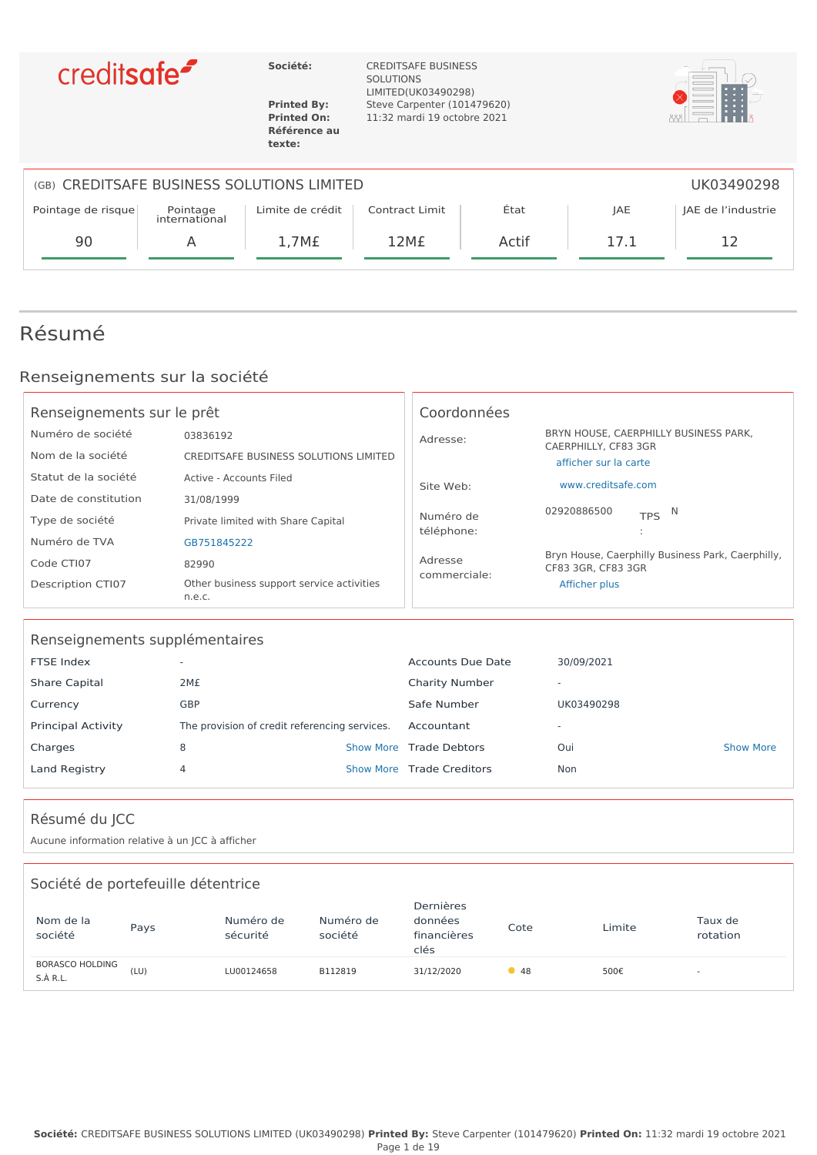



**texte:**

**Société:** CREDITSAFE BUSINESS SOLUTIONS LIMITED(UK03490298) **Printed By:** Steve Carpenter (101479620) **Printed On:** 11:32 mardi 19 octobre 2021 **Référence au**



| (GB) CREDITSAFE BUSINESS SOLUTIONS LIMITED<br>UK03490298 |                           |                  |                       |       |      |                    |
|----------------------------------------------------------|---------------------------|------------------|-----------------------|-------|------|--------------------|
| Pointage de risque                                       | Pointage<br>international | Limite de crédit | <b>Contract Limit</b> | Etat  | JAE  | JAE de l'industrie |
| 90                                                       | A                         | 1,7M£            | 12M <sub>E</sub>      | Actif | 17.1 |                    |
|                                                          |                           |                  |                       |       |      |                    |

## Résumé

### Renseignements sur la société

| Renseignements sur le prêt             |                                                     | Coordonnées             |                                                                                        |
|----------------------------------------|-----------------------------------------------------|-------------------------|----------------------------------------------------------------------------------------|
| Numéro de société<br>Nom de la société | 03836192<br>CREDITSAFE BUSINESS SOLUTIONS LIMITED   | Adresse:                | BRYN HOUSE, CAERPHILLY BUSINESS PARK,<br>CAERPHILLY, CF83 3GR<br>afficher sur la carte |
| Statut de la société                   | Active - Accounts Filed                             | Site Web:               | www.creditsafe.com                                                                     |
| Date de constitution                   | 31/08/1999                                          |                         | 02920886500<br>N                                                                       |
| Type de société                        | Private limited with Share Capital                  | Numéro de<br>téléphone: | <b>TPS</b>                                                                             |
| Numéro de TVA                          | GB751845222                                         |                         |                                                                                        |
| Code CTI07                             | 82990                                               | Adresse                 | Bryn House, Caerphilly Business Park, Caerphilly,<br>CF83 3GR, CF83 3GR                |
| <b>Description CTI07</b>               | Other business support service activities<br>n.e.c. | commerciale:            | Afficher plus                                                                          |

| Renseignements supplémentaires |                                               |  |                           |                          |                  |  |  |
|--------------------------------|-----------------------------------------------|--|---------------------------|--------------------------|------------------|--|--|
| FTSE Index                     | $\overline{\phantom{a}}$                      |  | Accounts Due Date         | 30/09/2021               |                  |  |  |
| <b>Share Capital</b>           | 2M£                                           |  | <b>Charity Number</b>     | $\overline{\phantom{a}}$ |                  |  |  |
| Currency                       | <b>GBP</b>                                    |  | Safe Number               | UK03490298               |                  |  |  |
| <b>Principal Activity</b>      | The provision of credit referencing services. |  | Accountant                | $\overline{\phantom{a}}$ |                  |  |  |
| Charges                        | 8                                             |  | Show More Trade Debtors   | Oui                      | <b>Show More</b> |  |  |
| Land Registry                  | 4                                             |  | Show More Trade Creditors | Non                      |                  |  |  |
|                                |                                               |  |                           |                          |                  |  |  |

### Résumé du JCC

Aucune information relative à un JCC à afficher

| Société de portefeuille détentrice |      |                       |                      |                                             |      |        |                          |
|------------------------------------|------|-----------------------|----------------------|---------------------------------------------|------|--------|--------------------------|
| Nom de la<br>société               | Pays | Numéro de<br>sécurité | Numéro de<br>société | Dernières<br>données<br>financières<br>clés | Cote | Limite | Taux de<br>rotation      |
| <b>BORASCO HOLDING</b><br>S.A R.L. | (LU) | LU00124658            | B112819              | 31/12/2020                                  | •48  | 500€   | $\overline{\phantom{a}}$ |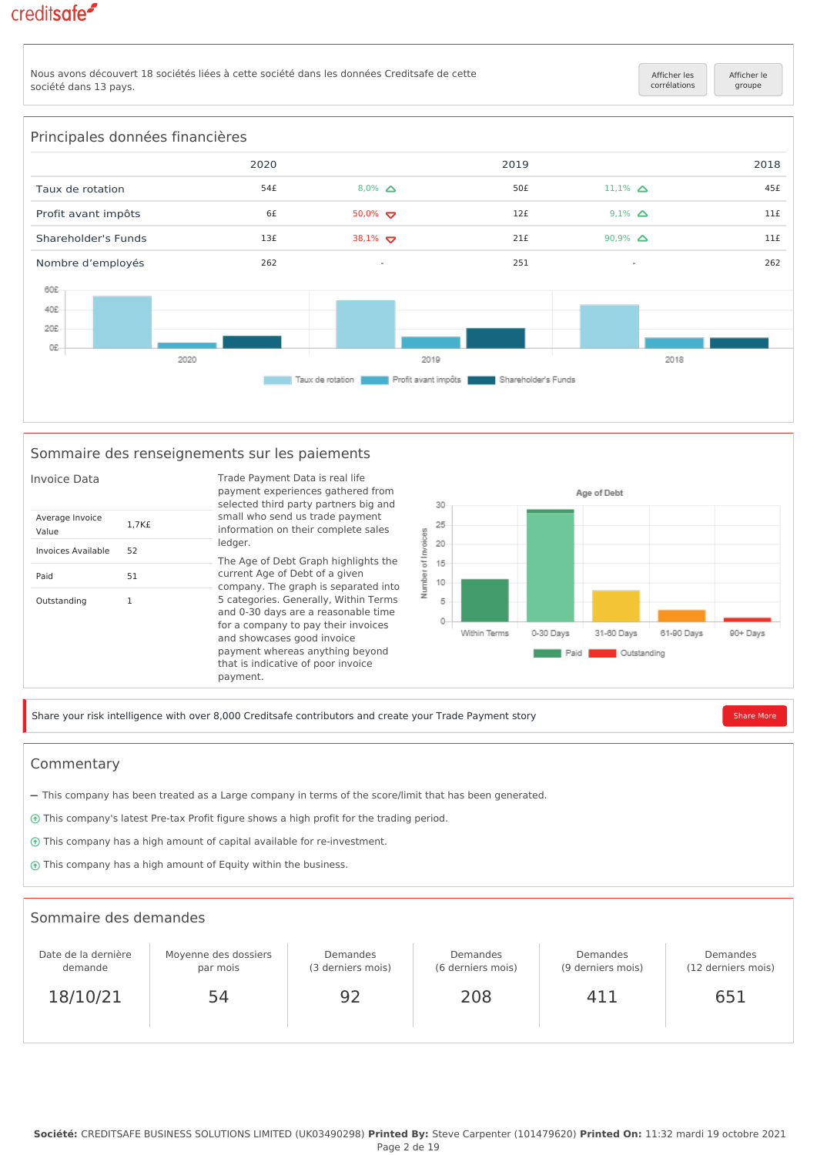Nous avons découvert 18 sociétés liées à cette société dans les données Creditsafe de cette société dans 13 pays.

[Afficher les](https://app.creditsafe.com/companies/GB-0-03836192/ownership/linkages) [corrélations](https://app.creditsafe.com/companies/GB-0-03836192/ownership/linkages) [Afficher le](https://app.creditsafe.com/companies/GB-0-03836192/ownership) [groupe](https://app.creditsafe.com/companies/GB-0-03836192/ownership)



#### Sommaire des renseignements sur les paiements



Share your risk intelligence with over 8,000 Creditsafe contributors and create your Trade Payment story [Share More](https://app.creditsafe.com/companies/GB-0-03836192/paymentData)

#### Commentary

- This company has been treated as a Large company in terms of the score/limit that has been generated.
- This company's latest Pre-tax Profit figure shows a high profit for the trading period.
- This company has a high amount of capital available for re-investment.
- This company has a high amount of Equity within the business.

#### Sommaire des demandes Date de la dernière demande 18/10/21 Moyenne des dossiers par mois 54 Demandes (3 derniers mois) 92 Demandes (6 derniers mois) 208 Demandes (9 derniers mois) 411 Demandes (12 derniers mois) 651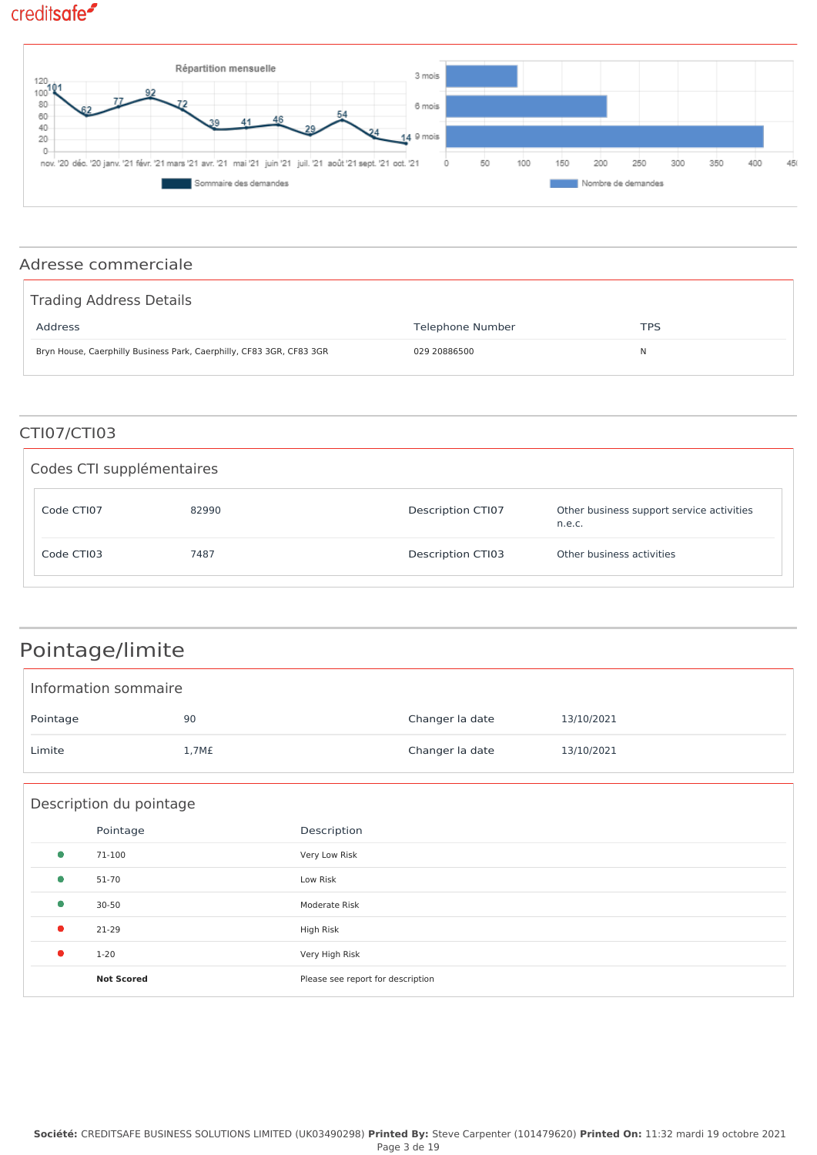

### Adresse commerciale

| Trading Address Details                                              |                  |     |
|----------------------------------------------------------------------|------------------|-----|
| Address                                                              | Telephone Number | TPS |
| Bryn House, Caerphilly Business Park, Caerphilly, CF83 3GR, CF83 3GR | 029 20886500     | N   |

### CTI07/CTI03

| Codes CTI supplémentaires |       |                   |                                                     |
|---------------------------|-------|-------------------|-----------------------------------------------------|
| Code CTI07                | 82990 | Description CTI07 | Other business support service activities<br>n.e.c. |
| Code CTI03                | 7487  | Description CTI03 | Other business activities                           |

## Pointage/limite

| Information sommaire |                   |                 |            |  |
|----------------------|-------------------|-----------------|------------|--|
| Pointage             | 90                | Changer la date | 13/10/2021 |  |
| Limite               | 1,7M <sub>f</sub> | Changer la date | 13/10/2021 |  |

|           | Description du pointage |                                   |  |  |  |
|-----------|-------------------------|-----------------------------------|--|--|--|
|           | Pointage                | Description                       |  |  |  |
| $\bullet$ | 71-100                  | Very Low Risk                     |  |  |  |
| $\bullet$ | 51-70                   | Low Risk                          |  |  |  |
| $\bullet$ | $30 - 50$               | Moderate Risk                     |  |  |  |
| $\bullet$ | 21-29                   | High Risk                         |  |  |  |
| $\bullet$ | $1 - 20$                | Very High Risk                    |  |  |  |
|           | <b>Not Scored</b>       | Please see report for description |  |  |  |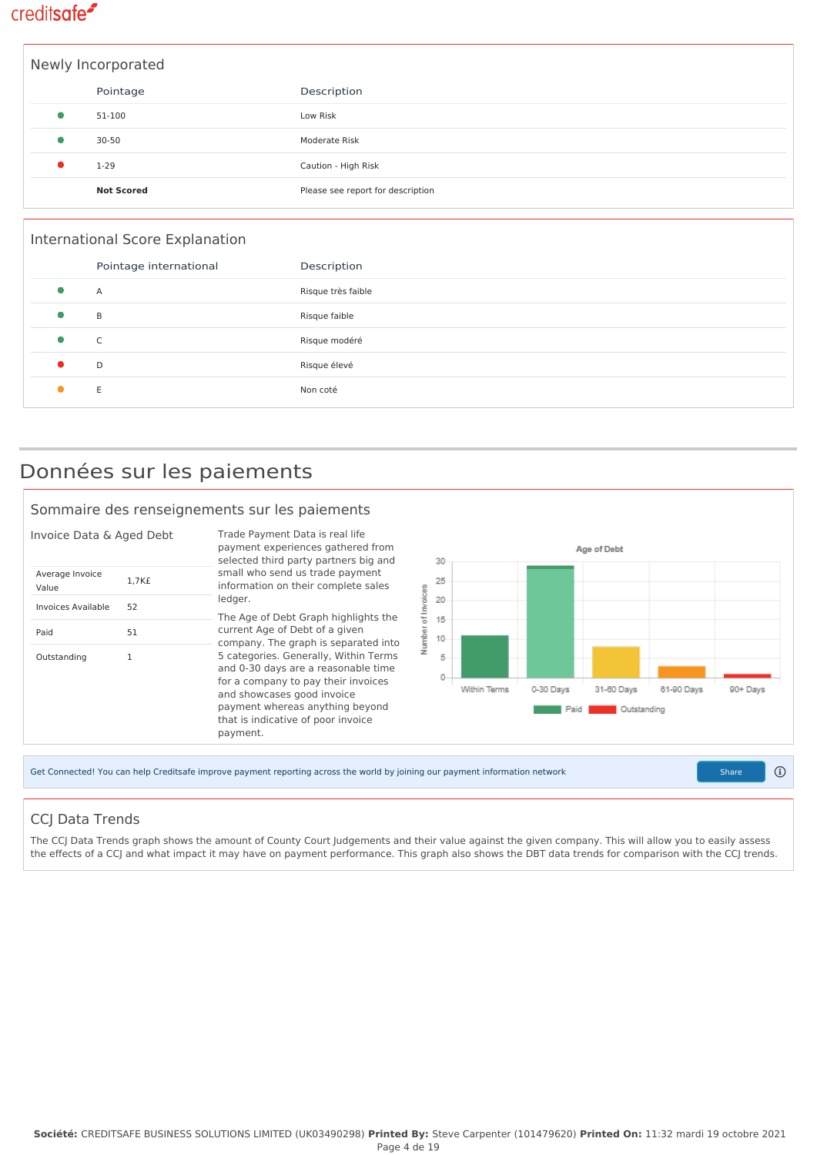|   | Newly Incorporated |                                   |  |  |  |
|---|--------------------|-----------------------------------|--|--|--|
|   | Pointage           | Description                       |  |  |  |
| 0 | 51-100             | Low Risk                          |  |  |  |
|   | $30 - 50$          | Moderate Risk                     |  |  |  |
|   | $1 - 29$           | Caution - High Risk               |  |  |  |
|   | <b>Not Scored</b>  | Please see report for description |  |  |  |

| International Score Explanation |                    |  |  |  |
|---------------------------------|--------------------|--|--|--|
| Pointage international          | Description        |  |  |  |
| Α                               | Risque très faible |  |  |  |
| B                               | Risque faible      |  |  |  |
| C                               | Risque modéré      |  |  |  |
| D                               | Risque élevé       |  |  |  |
| E                               | Non coté           |  |  |  |

### Données sur les paiements

#### Sommaire des renseignements sur les paiements



### CCJ Data Trends

The CCJ Data Trends graph shows the amount of County Court Judgements and their value against the given company. This will allow you to easily assess the effects of a CCJ and what impact it may have on payment performance. This graph also shows the DBT data trends for comparison with the CCJ trends.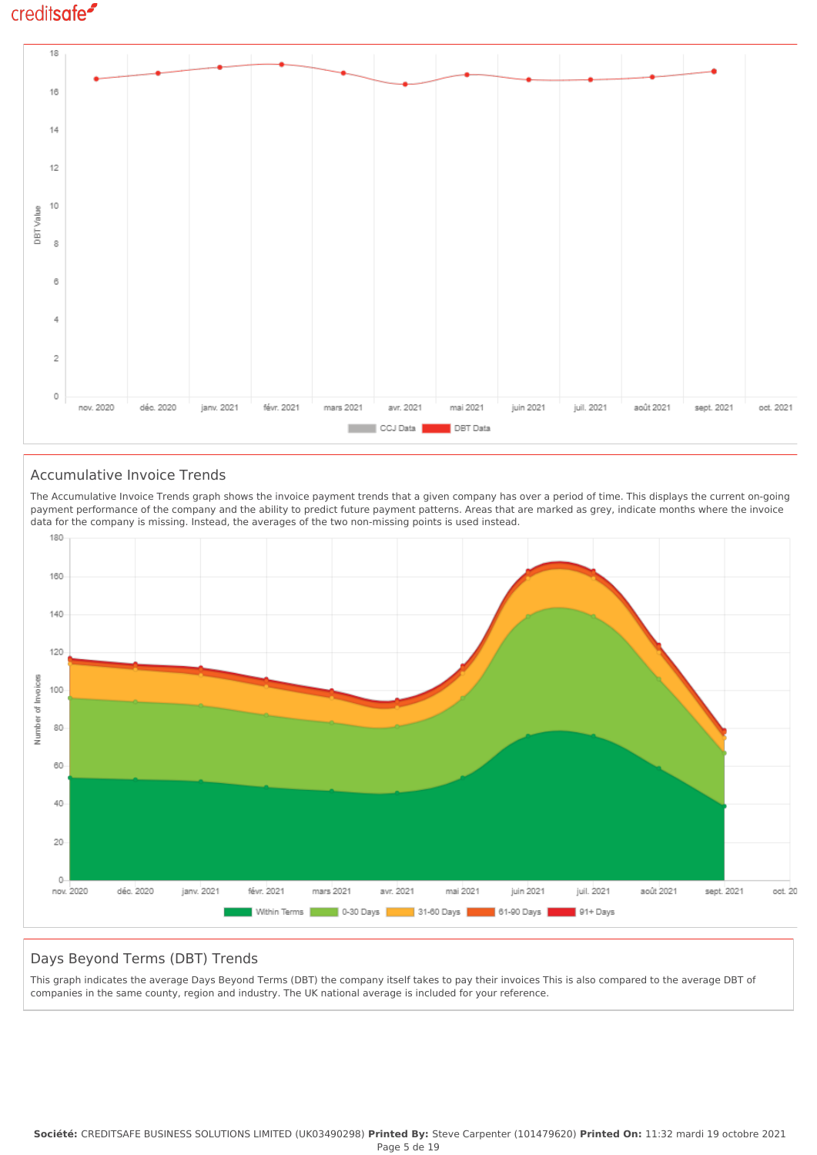

#### Accumulative Invoice Trends

The Accumulative Invoice Trends graph shows the invoice payment trends that a given company has over a period of time. This displays the current on-going payment performance of the company and the ability to predict future payment patterns. Areas that are marked as grey, indicate months where the invoice data for the company is missing. Instead, the averages of the two non-missing points is used instead.



### Days Beyond Terms (DBT) Trends

This graph indicates the average Days Beyond Terms (DBT) the company itself takes to pay their invoices This is also compared to the average DBT of companies in the same county, region and industry. The UK national average is included for your reference.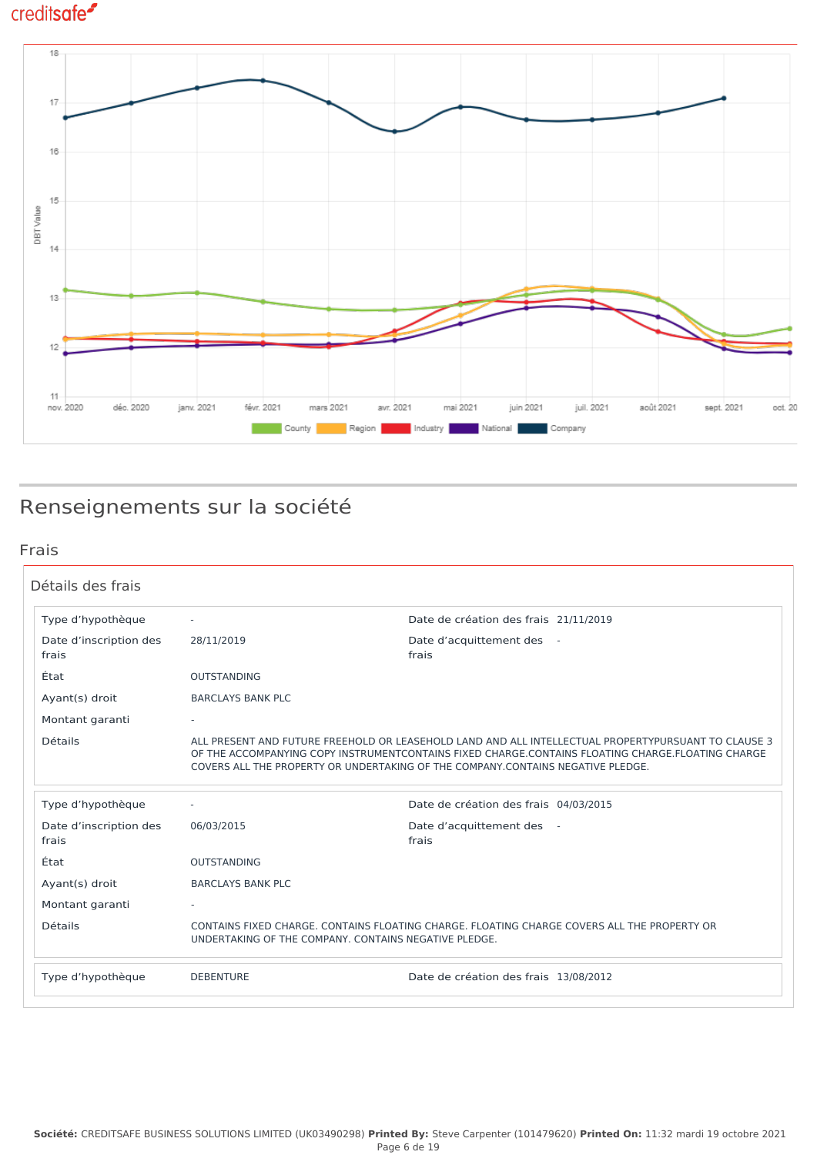

## Renseignements sur la société

### Frais

| Détails des frais               |                          |                                                                                                                                                                                                                                                                                             |
|---------------------------------|--------------------------|---------------------------------------------------------------------------------------------------------------------------------------------------------------------------------------------------------------------------------------------------------------------------------------------|
| Type d'hypothèque               | $\sim$                   | Date de création des frais 21/11/2019                                                                                                                                                                                                                                                       |
| Date d'inscription des<br>frais | 28/11/2019               | Date d'acquittement des -<br>frais                                                                                                                                                                                                                                                          |
| État                            | <b>OUTSTANDING</b>       |                                                                                                                                                                                                                                                                                             |
| Ayant(s) droit                  | <b>BARCLAYS BANK PLC</b> |                                                                                                                                                                                                                                                                                             |
| Montant garanti                 |                          |                                                                                                                                                                                                                                                                                             |
| <b>Détails</b>                  |                          | ALL PRESENT AND FUTURE FREEHOLD OR LEASEHOLD LAND AND ALL INTELLECTUAL PROPERTYPURSUANT TO CLAUSE 3<br>OF THE ACCOMPANYING COPY INSTRUMENTCONTAINS FIXED CHARGE.CONTAINS FLOATING CHARGE.FLOATING CHARGE<br>COVERS ALL THE PROPERTY OR UNDERTAKING OF THE COMPANY CONTAINS NEGATIVE PLEDGE. |
| Type d'hypothèque               |                          | Date de création des frais 04/03/2015                                                                                                                                                                                                                                                       |
| Date d'inscription des<br>frais | 06/03/2015               | Date d'acquittement des -<br>frais                                                                                                                                                                                                                                                          |
| État                            | <b>OUTSTANDING</b>       |                                                                                                                                                                                                                                                                                             |
| Ayant(s) droit                  | <b>BARCLAYS BANK PLC</b> |                                                                                                                                                                                                                                                                                             |
| Montant garanti                 | $\sim$                   |                                                                                                                                                                                                                                                                                             |
| <b>Détails</b>                  |                          | CONTAINS FIXED CHARGE, CONTAINS FLOATING CHARGE, FLOATING CHARGE COVERS ALL THE PROPERTY OR<br>UNDERTAKING OF THE COMPANY, CONTAINS NEGATIVE PLEDGE.                                                                                                                                        |
| Type d'hypothèque               | <b>DEBENTURE</b>         | Date de création des frais 13/08/2012                                                                                                                                                                                                                                                       |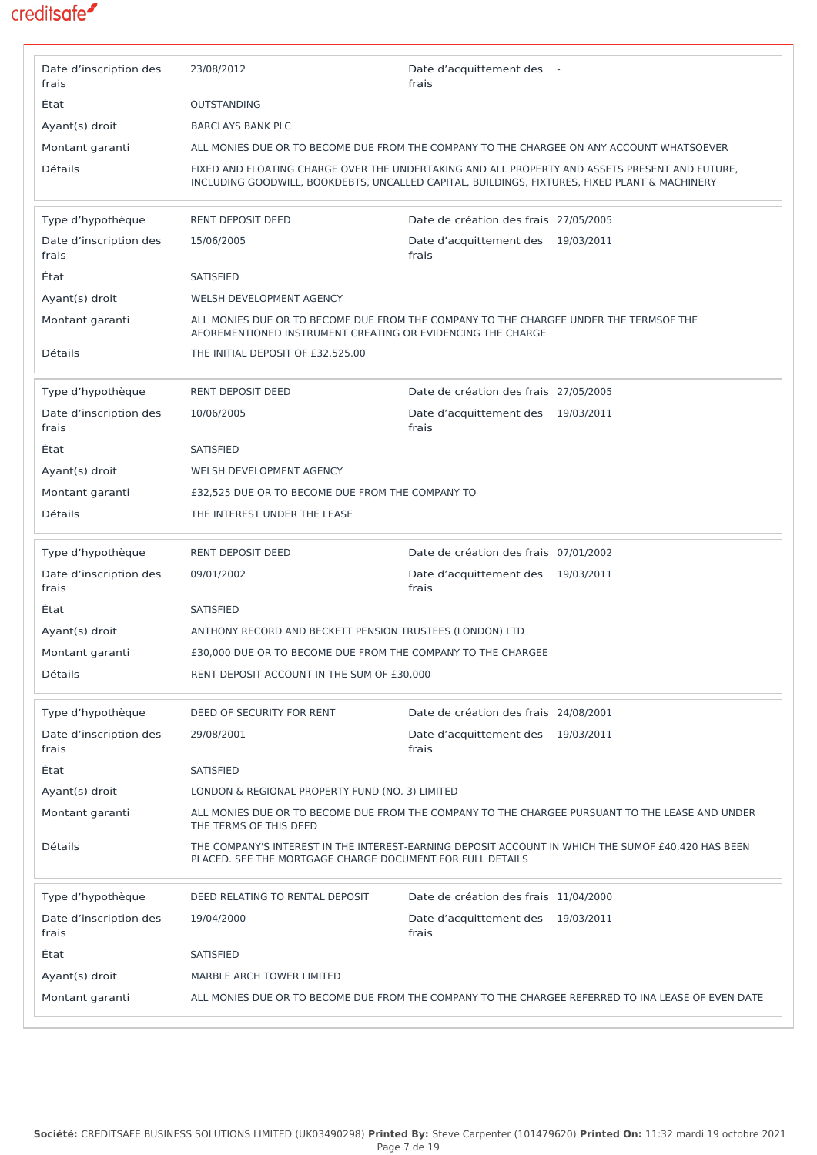| Date d'inscription des<br>frais | 23/08/2012                                                   | Date d'acquittement des -<br>frais                                                                                                                                                              |
|---------------------------------|--------------------------------------------------------------|-------------------------------------------------------------------------------------------------------------------------------------------------------------------------------------------------|
| État                            | <b>OUTSTANDING</b>                                           |                                                                                                                                                                                                 |
| Ayant(s) droit                  | <b>BARCLAYS BANK PLC</b>                                     |                                                                                                                                                                                                 |
| Montant garanti                 |                                                              | ALL MONIES DUE OR TO BECOME DUE FROM THE COMPANY TO THE CHARGEE ON ANY ACCOUNT WHATSOEVER                                                                                                       |
| Détails                         |                                                              | FIXED AND FLOATING CHARGE OVER THE UNDERTAKING AND ALL PROPERTY AND ASSETS PRESENT AND FUTURE,<br>INCLUDING GOODWILL, BOOKDEBTS, UNCALLED CAPITAL, BUILDINGS, FIXTURES, FIXED PLANT & MACHINERY |
| Type d'hypothèque               | RENT DEPOSIT DEED                                            | Date de création des frais 27/05/2005                                                                                                                                                           |
| Date d'inscription des<br>frais | 15/06/2005                                                   | Date d'acquittement des 19/03/2011<br>frais                                                                                                                                                     |
| État                            | <b>SATISFIED</b>                                             |                                                                                                                                                                                                 |
| Ayant(s) droit                  | WELSH DEVELOPMENT AGENCY                                     |                                                                                                                                                                                                 |
| Montant garanti                 | AFOREMENTIONED INSTRUMENT CREATING OR EVIDENCING THE CHARGE  | ALL MONIES DUE OR TO BECOME DUE FROM THE COMPANY TO THE CHARGEE UNDER THE TERMSOF THE                                                                                                           |
| Détails                         | THE INITIAL DEPOSIT OF £32,525.00                            |                                                                                                                                                                                                 |
| Type d'hypothèque               | <b>RENT DEPOSIT DEED</b>                                     | Date de création des frais 27/05/2005                                                                                                                                                           |
| Date d'inscription des<br>frais | 10/06/2005                                                   | Date d'acquittement des 19/03/2011<br>frais                                                                                                                                                     |
| État                            | <b>SATISFIED</b>                                             |                                                                                                                                                                                                 |
| Ayant(s) droit                  | WELSH DEVELOPMENT AGENCY                                     |                                                                                                                                                                                                 |
| Montant garanti                 | £32,525 DUE OR TO BECOME DUE FROM THE COMPANY TO             |                                                                                                                                                                                                 |
| <b>Détails</b>                  | THE INTEREST UNDER THE LEASE                                 |                                                                                                                                                                                                 |
| Type d'hypothèque               | <b>RENT DEPOSIT DEED</b>                                     | Date de création des frais 07/01/2002                                                                                                                                                           |
| Date d'inscription des<br>frais | 09/01/2002                                                   | Date d'acquittement des 19/03/2011<br>frais                                                                                                                                                     |
| État                            | <b>SATISFIED</b>                                             |                                                                                                                                                                                                 |
| Ayant(s) droit                  | ANTHONY RECORD AND BECKETT PENSION TRUSTEES (LONDON) LTD     |                                                                                                                                                                                                 |
| Montant garanti                 | £30,000 DUE OR TO BECOME DUE FROM THE COMPANY TO THE CHARGEE |                                                                                                                                                                                                 |
| Détails                         | RENT DEPOSIT ACCOUNT IN THE SUM OF £30,000                   |                                                                                                                                                                                                 |
| Type d'hypothèque               | DEED OF SECURITY FOR RENT                                    | Date de création des frais 24/08/2001                                                                                                                                                           |
| Date d'inscription des<br>frais | 29/08/2001                                                   | Date d'acquittement des 19/03/2011<br>frais                                                                                                                                                     |
| État                            | <b>SATISFIED</b>                                             |                                                                                                                                                                                                 |
| Ayant(s) droit                  | LONDON & REGIONAL PROPERTY FUND (NO. 3) LIMITED              |                                                                                                                                                                                                 |
| Montant garanti                 | THE TERMS OF THIS DEED                                       | ALL MONIES DUE OR TO BECOME DUE FROM THE COMPANY TO THE CHARGEE PURSUANT TO THE LEASE AND UNDER                                                                                                 |
| Détails                         | PLACED. SEE THE MORTGAGE CHARGE DOCUMENT FOR FULL DETAILS    | THE COMPANY'S INTEREST IN THE INTEREST-EARNING DEPOSIT ACCOUNT IN WHICH THE SUMOF £40,420 HAS BEEN                                                                                              |
| Type d'hypothèque               | DEED RELATING TO RENTAL DEPOSIT                              | Date de création des frais 11/04/2000                                                                                                                                                           |
| Date d'inscription des<br>frais | 19/04/2000                                                   | Date d'acquittement des 19/03/2011<br>frais                                                                                                                                                     |
| État                            | <b>SATISFIED</b>                                             |                                                                                                                                                                                                 |
| Ayant(s) droit                  | MARBLE ARCH TOWER LIMITED                                    |                                                                                                                                                                                                 |
| Montant garanti                 |                                                              | ALL MONIES DUE OR TO BECOME DUE FROM THE COMPANY TO THE CHARGEE REFERRED TO INA LEASE OF EVEN DATE                                                                                              |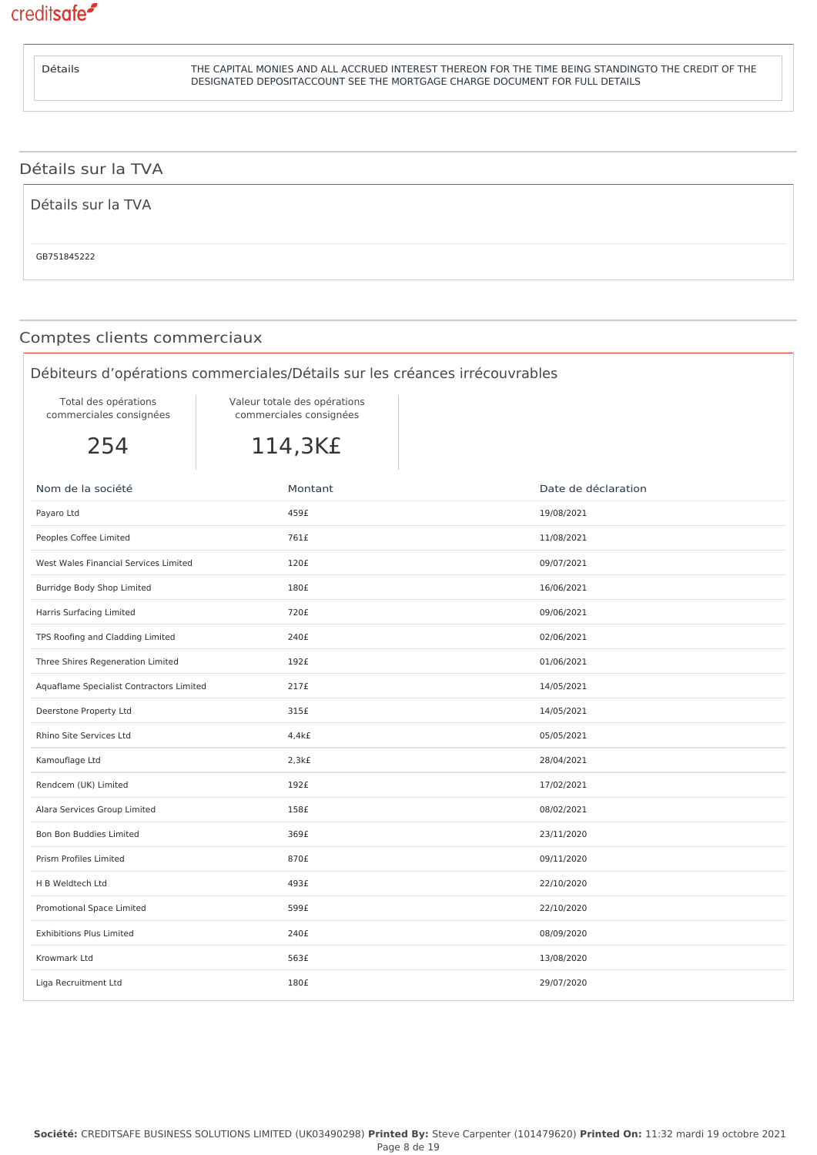

| <b>Détails</b>     | THE CAPITAL MONIES AND ALL ACCRUED INTEREST THEREON FOR THE TIME BEING STANDINGTO THE CREDIT OF THE<br>DESIGNATED DEPOSITACCOUNT SEE THE MORTGAGE CHARGE DOCUMENT FOR FULL DETAILS |
|--------------------|------------------------------------------------------------------------------------------------------------------------------------------------------------------------------------|
|                    |                                                                                                                                                                                    |
| Détails sur la TVA |                                                                                                                                                                                    |
| Détails sur la TVA |                                                                                                                                                                                    |

### Comptes clients commerciaux

### Débiteurs d'opérations commerciales/Détails sur les créances irrécouvrables

Total des opérations commerciales consignées Valeur totale des opérations commerciales consignées

254

114,3K£

| Nom de la société                        | Montant | Date de déclaration |
|------------------------------------------|---------|---------------------|
| Payaro Ltd                               | 459£    | 19/08/2021          |
| Peoples Coffee Limited                   | 761£    | 11/08/2021          |
| West Wales Financial Services Limited    | 120£    | 09/07/2021          |
| Burridge Body Shop Limited               | 180£    | 16/06/2021          |
| Harris Surfacing Limited                 | 720£    | 09/06/2021          |
| TPS Roofing and Cladding Limited         | 240£    | 02/06/2021          |
| Three Shires Regeneration Limited        | 192£    | 01/06/2021          |
| Aquaflame Specialist Contractors Limited | 217£    | 14/05/2021          |
| Deerstone Property Ltd                   | 315£    | 14/05/2021          |
| Rhino Site Services Ltd                  | 4,4kE   | 05/05/2021          |
| Kamouflage Ltd                           | 2,3kf   | 28/04/2021          |
| Rendcem (UK) Limited                     | 192£    | 17/02/2021          |
| Alara Services Group Limited             | 158£    | 08/02/2021          |
| Bon Bon Buddies Limited                  | 369£    | 23/11/2020          |
| Prism Profiles Limited                   | 870£    | 09/11/2020          |
| H B Weldtech Ltd                         | 493£    | 22/10/2020          |
| Promotional Space Limited                | 599£    | 22/10/2020          |
| <b>Exhibitions Plus Limited</b>          | 240£    | 08/09/2020          |
| Krowmark Ltd                             | 563£    | 13/08/2020          |
| Liga Recruitment Ltd                     | 180£    | 29/07/2020          |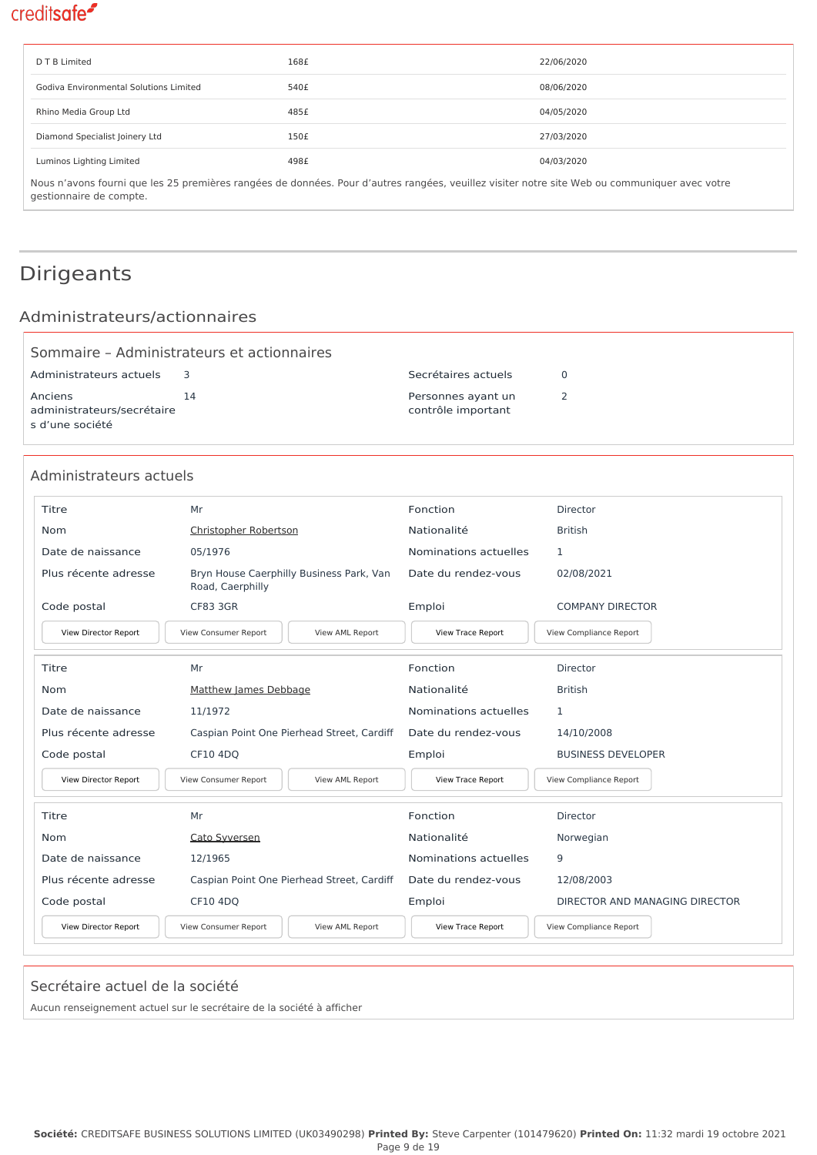| D T B Limited                                                                                                                                 | 168£ | 22/06/2020 |  |
|-----------------------------------------------------------------------------------------------------------------------------------------------|------|------------|--|
| Godiva Environmental Solutions Limited                                                                                                        | 540£ | 08/06/2020 |  |
| Rhino Media Group Ltd                                                                                                                         | 485£ | 04/05/2020 |  |
| Diamond Specialist Joinery Ltd                                                                                                                | 150£ | 27/03/2020 |  |
| Luminos Lighting Limited                                                                                                                      | 498£ | 04/03/2020 |  |
| Nous n'avons fourni que les 25 premières rangées de données. Pour d'autres rangées, veuillez visiter notre site Web ou communiquer avec votre |      |            |  |

gestionnaire de compte.

## Dirigeants

### Administrateurs/actionnaires

|                                                          | Sommaire - Administrateurs et actionnaires |                                          |  |
|----------------------------------------------------------|--------------------------------------------|------------------------------------------|--|
| Administrateurs actuels                                  |                                            | Secrétaires actuels                      |  |
| Anciens<br>administrateurs/secrétaire<br>s d'une société | 14                                         | Personnes ayant un<br>contrôle important |  |

### Administrateurs actuels

| <b>Titre</b>         | Mr                                                           | Fonction              | Director                       |
|----------------------|--------------------------------------------------------------|-----------------------|--------------------------------|
| Nom                  | Christopher Robertson                                        | Nationalité           | <b>British</b>                 |
| Date de naissance    | 05/1976                                                      | Nominations actuelles | 1                              |
| Plus récente adresse | Bryn House Caerphilly Business Park, Van<br>Road, Caerphilly | Date du rendez-vous   | 02/08/2021                     |
| Code postal          | <b>CF83 3GR</b>                                              | Emploi                | <b>COMPANY DIRECTOR</b>        |
| View Director Report | View Consumer Report<br>View AML Report                      | View Trace Report     | View Compliance Report         |
| Titre                | Mr                                                           | Fonction              | Director                       |
| Nom                  | Matthew James Debbage                                        | Nationalité           | <b>British</b>                 |
| Date de naissance    | 11/1972                                                      | Nominations actuelles | 1                              |
| Plus récente adresse | Caspian Point One Pierhead Street, Cardiff                   | Date du rendez-vous   | 14/10/2008                     |
| Code postal          | CF10 4DQ                                                     | Emploi                | <b>BUSINESS DEVELOPER</b>      |
| View Director Report | View Consumer Report<br>View AML Report                      | View Trace Report     | View Compliance Report         |
| <b>Titre</b>         | Mr                                                           | Fonction              | Director                       |
| Nom                  | Cato Syversen                                                | Nationalité           | Norwegian                      |
| Date de naissance    | 12/1965                                                      | Nominations actuelles | 9                              |
| Plus récente adresse | Caspian Point One Pierhead Street, Cardiff                   | Date du rendez-vous   | 12/08/2003                     |
| Code postal          | CF10 4DQ                                                     | Emploi                | DIRECTOR AND MANAGING DIRECTOR |
| View Director Report | View Consumer Report<br>View AML Report                      | View Trace Report     | View Compliance Report         |

#### Secrétaire actuel de la société

Aucun renseignement actuel sur le secrétaire de la société à afficher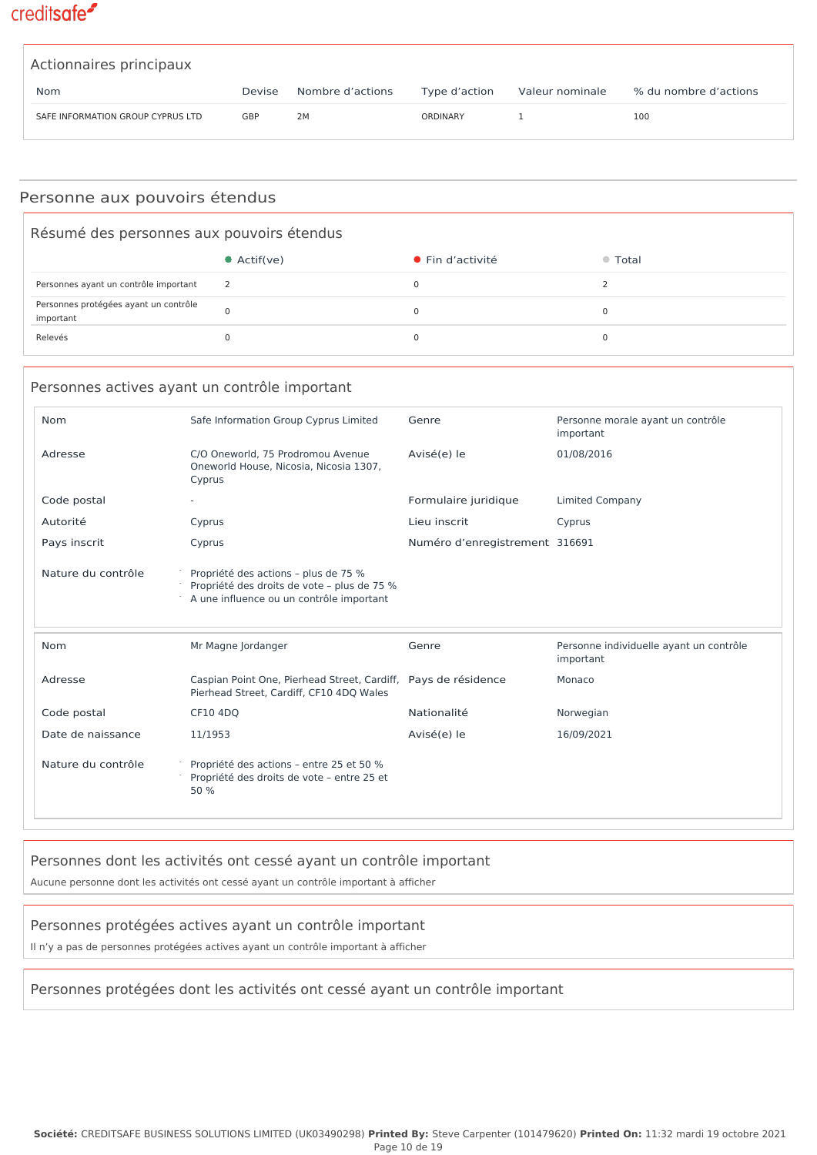| Actionnaires principaux           |        |                  |               |                 |                       |
|-----------------------------------|--------|------------------|---------------|-----------------|-----------------------|
| <b>Nom</b>                        | Devise | Nombre d'actions | Type d'action | Valeur nominale | % du nombre d'actions |
| SAFE INFORMATION GROUP CYPRUS LTD | GBP    | 2M               | ORDINARY      |                 | 100                   |

### Personne aux pouvoirs étendus

| Résumé des personnes aux pouvoirs étendus          |                     |                          |         |
|----------------------------------------------------|---------------------|--------------------------|---------|
|                                                    | $\bullet$ Actif(ve) | $\bullet$ Fin d'activité | ● Total |
| Personnes ayant un contrôle important              |                     |                          |         |
| Personnes protégées ayant un contrôle<br>important |                     |                          |         |
| Relevés                                            |                     |                          |         |

### Personnes actives ayant un contrôle important

| <b>Nom</b>         | Safe Information Group Cyprus Limited                                                                                           | Genre                          | Personne morale ayant un contrôle<br>important       |
|--------------------|---------------------------------------------------------------------------------------------------------------------------------|--------------------------------|------------------------------------------------------|
| Adresse            | C/O Oneworld, 75 Prodromou Avenue<br>Oneworld House, Nicosia, Nicosia 1307,<br>Cyprus                                           | Avisé(e) le                    | 01/08/2016                                           |
| Code postal        |                                                                                                                                 | Formulaire juridique           | <b>Limited Company</b>                               |
| Autorité           | Cyprus                                                                                                                          | Lieu inscrit                   | Cyprus                                               |
| Pays inscrit       | Cyprus                                                                                                                          | Numéro d'enregistrement 316691 |                                                      |
| Nature du contrôle | Propriété des actions - plus de 75 %<br>Propriété des droits de vote - plus de 75 %<br>A une influence ou un contrôle important |                                |                                                      |
| Nom                | Mr Magne Jordanger                                                                                                              | Genre                          | Personne individuelle ayant un contrôle<br>important |
| Adresse            | Caspian Point One, Pierhead Street, Cardiff, Pays de résidence<br>Pierhead Street, Cardiff, CF10 4DQ Wales                      |                                | Monaco                                               |
| Code postal        | CF10 4DO                                                                                                                        | Nationalité                    | Norwegian                                            |
| Date de naissance  | 11/1953                                                                                                                         | Avisé(e) le                    | 16/09/2021                                           |
| Nature du contrôle | Propriété des actions - entre 25 et 50 %<br>Propriété des droits de vote - entre 25 et<br>50 %                                  |                                |                                                      |

### Personnes dont les activités ont cessé ayant un contrôle important

Aucune personne dont les activités ont cessé ayant un contrôle important à afficher

### Personnes protégées actives ayant un contrôle important

Il n'y a pas de personnes protégées actives ayant un contrôle important à afficher

### Personnes protégées dont les activités ont cessé ayant un contrôle important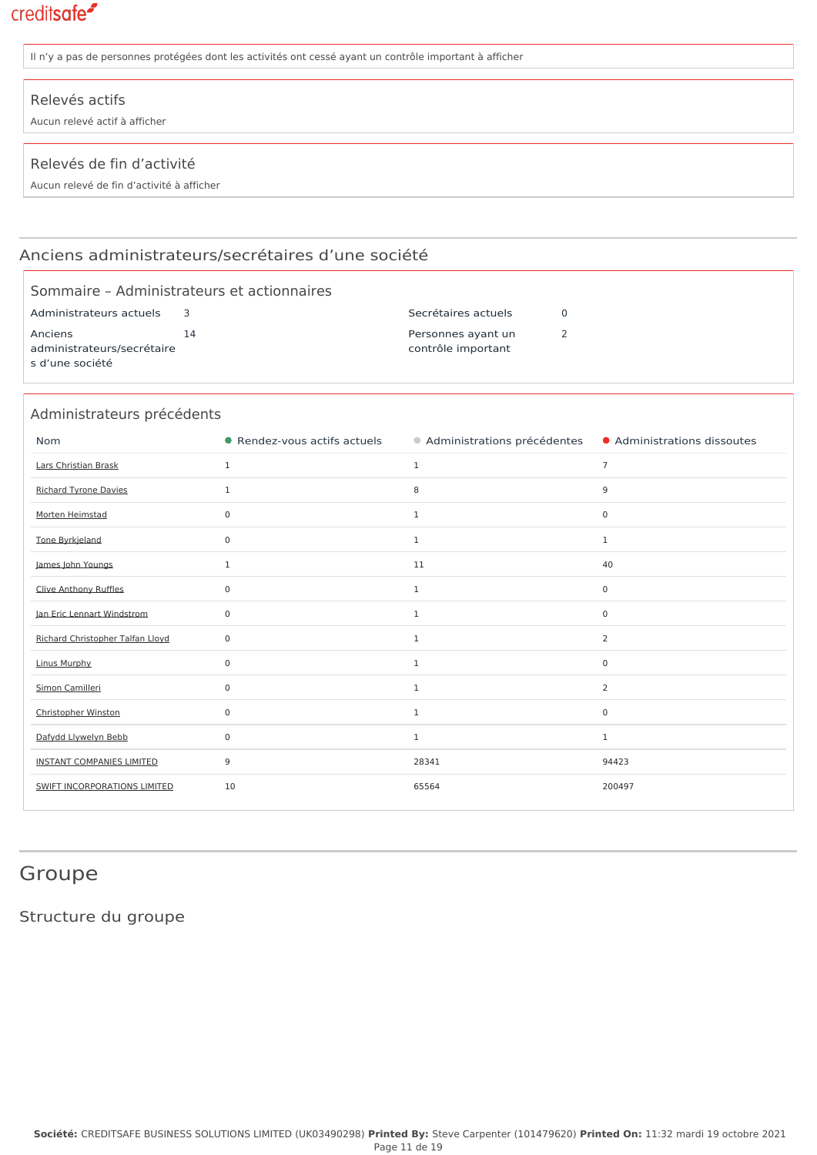| Il n'y a pas de personnes protégées dont les activités ont cessé ayant un contrôle important à afficher |  |  |  |
|---------------------------------------------------------------------------------------------------------|--|--|--|
| Relevés actifs<br>Aucun relevé actif à afficher                                                         |  |  |  |
| Relevés de fin d'activité<br>Aucun relevé de fin d'activité à afficher                                  |  |  |  |

### Anciens administrateurs/secrétaires d'une société

|                                                  | Sommaire - Administrateurs et actionnaires |                     |  |  |
|--------------------------------------------------|--------------------------------------------|---------------------|--|--|
| Administrateurs actuels                          |                                            | Secrétaires actuels |  |  |
| Anciens                                          | 14                                         | Personnes ayant un  |  |  |
| administrateurs/secrétaire<br>contrôle important |                                            |                     |  |  |
| s d'une société                                  |                                            |                     |  |  |

| Administrateurs précédents          |                              |                             |                             |  |
|-------------------------------------|------------------------------|-----------------------------|-----------------------------|--|
| <b>Nom</b>                          | • Rendez-vous actifs actuels | Administrations précédentes | • Administrations dissoutes |  |
| Lars Christian Brask                | $\mathbf{1}$                 | $\mathbf{1}$                | $\overline{7}$              |  |
| <b>Richard Tyrone Davies</b>        | $\mathbf{1}$                 | 8                           | 9                           |  |
| Morten Heimstad                     | 0                            | $\mathbf{1}$                | 0                           |  |
| Tone Byrkjeland                     | 0                            | $\mathbf{1}$                | $\mathbf{1}$                |  |
| James John Youngs                   | $\mathbf{1}$                 | 11                          | 40                          |  |
| Clive Anthony Ruffles               | $\mathbf 0$                  | $\mathbf{1}$                | $\mathbf 0$                 |  |
| Jan Eric Lennart Windstrom          | 0                            | $\mathbf{1}$                | 0                           |  |
| Richard Christopher Talfan Lloyd    | $\mathbf 0$                  | $\mathbf{1}$                | 2                           |  |
| <b>Linus Murphy</b>                 | $\mathbf 0$                  | $\mathbf{1}$                | $\mathbf 0$                 |  |
| Simon Camilleri                     | 0                            | $\mathbf{1}$                | 2                           |  |
| Christopher Winston                 | 0                            | $\mathbf{1}$                | 0                           |  |
| Dafydd Llywelyn Bebb                | $\mathbf 0$                  | $\mathbf{1}$                | $\mathbf{1}$                |  |
| <b>INSTANT COMPANIES LIMITED</b>    | 9                            | 28341                       | 94423                       |  |
| <b>SWIFT INCORPORATIONS LIMITED</b> | 10                           | 65564                       | 200497                      |  |

## Groupe

Structure du groupe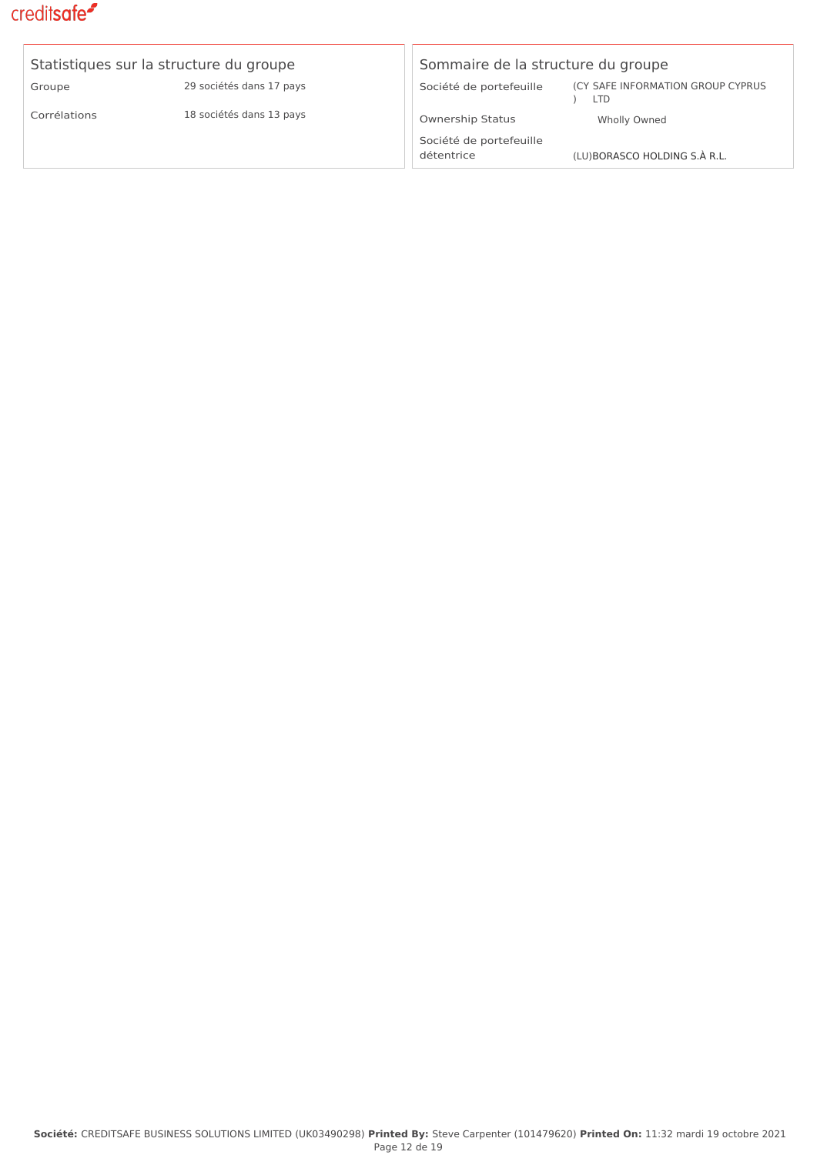| Statistiques sur la structure du groupe |                          |  |  |
|-----------------------------------------|--------------------------|--|--|
| Groupe                                  | 29 sociétés dans 17 pays |  |  |
| Corrélations                            | 18 sociétés dans 13 pays |  |  |

#### Sommaire de la structure du groupe

Société de portefeuille

) LTD (CY SAFE INFORMATION GROUP CYPRUS

#### Ownership Status Wholly Owned

Société de portefeuille

détentrice (LU)[BORASCO HOLDING S.À R.L.](https://app.creditsafe.com/companies/LU00124658)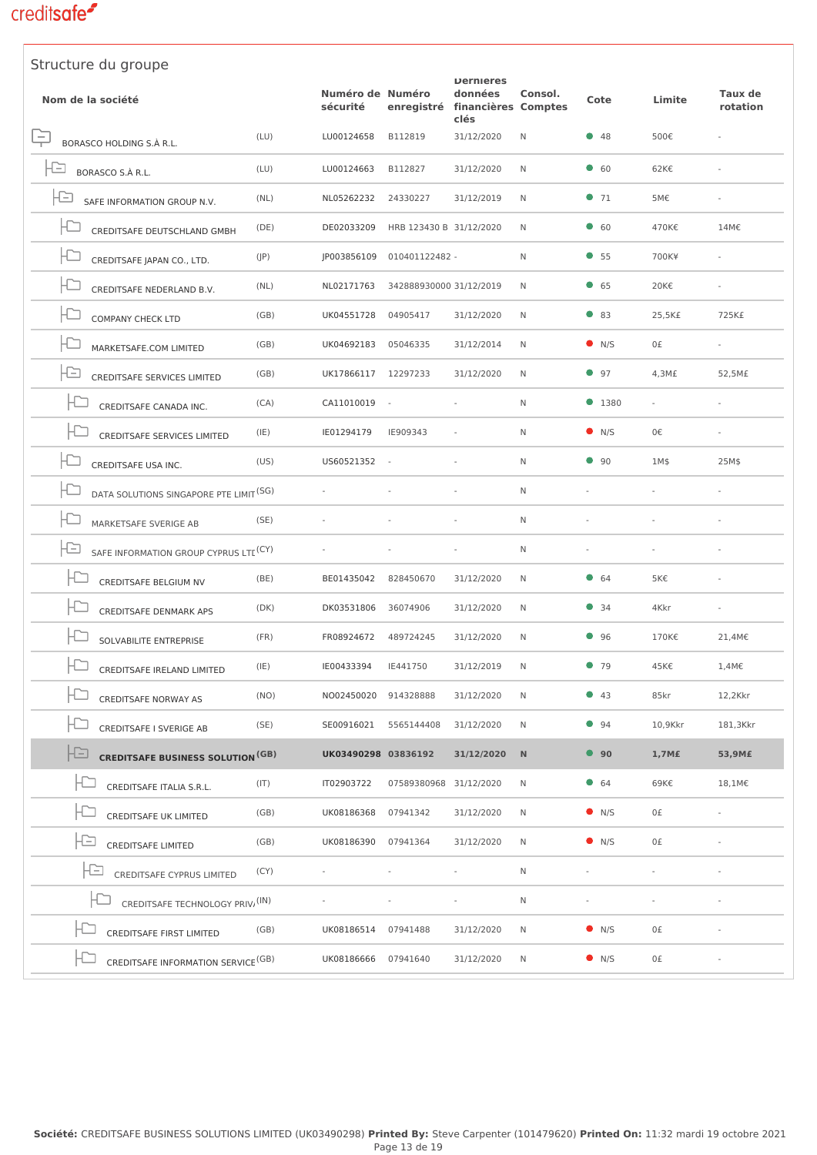| Structure du groupe                                      |       |                              |                         |                                                                       |              |               |         |                            |
|----------------------------------------------------------|-------|------------------------------|-------------------------|-----------------------------------------------------------------------|--------------|---------------|---------|----------------------------|
| Nom de la société                                        |       | Numéro de Numéro<br>sécurité |                         | <b>Dernieres</b><br>données<br>enregistré financières Comptes<br>clés | Consol.      | Cote          | Limite  | <b>Taux de</b><br>rotation |
| ÷<br>BORASCO HOLDING S.À R.L.                            | (LU)  | LU00124658                   | B112819                 | 31/12/2020                                                            | N            | • 48          | 500€    |                            |
| Ð<br>BORASCO S.À R.L.                                    | (LU)  | LU00124663                   | B112827                 | 31/12/2020                                                            | N            | $\bullet$ 60  | 62K€    |                            |
| IÐ<br>SAFE INFORMATION GROUP N.V.                        | (NL)  | NL05262232                   | 24330227                | 31/12/2019                                                            | N            | $\bullet$ 71  | 5M€     |                            |
| ID<br>CREDITSAFE DEUTSCHLAND GMBH                        | (DE)  | DE02033209                   | HRB 123430 B 31/12/2020 |                                                                       | N            | $\bullet$ 60  | 470K€   | 14M€                       |
| CREDITSAFE JAPAN CO., LTD.                               | (JP)  | JP003856109                  | 010401122482 -          |                                                                       | N            | • 55          | 700K¥   |                            |
| IÐ<br>CREDITSAFE NEDERLAND B.V.                          | (NL)  | NL02171763                   | 342888930000 31/12/2019 |                                                                       | N            | 65            | 20K€    |                            |
| IÐ<br><b>COMPANY CHECK LTD</b>                           | (GB)  | UK04551728                   | 04905417                | 31/12/2020                                                            | N            | $\bullet$ 83  | 25,5K£  | 725K£                      |
| IÐ<br>MARKETSAFE.COM LIMITED                             | (GB)  | UK04692183                   | 05046335                | 31/12/2014                                                            | N            | $\bullet$ N/S | 0£      |                            |
| IÐ<br>CREDITSAFE SERVICES LIMITED                        | (GB)  | UK17866117                   | 12297233                | 31/12/2020                                                            | N            | 97            | 4,3M£   | 52,5M£                     |
| CREDITSAFE CANADA INC.                                   | (CA)  | CA11010019                   | $\sim$                  |                                                                       | $\mathsf{N}$ | • 1380        |         |                            |
| $\Box$<br>CREDITSAFE SERVICES LIMITED                    | (IE)  | IE01294179                   | IE909343                |                                                                       | N            | $\bullet$ N/S | 0€      |                            |
| $\Box$<br>CREDITSAFE USA INC.                            | (US)  | US60521352                   | $\sim$                  |                                                                       | N            | $\bullet$ 90  | 1M\$    | 25M\$                      |
| la<br>DATA SOLUTIONS SINGAPORE PTE LIMIT <sup>(SG)</sup> |       |                              |                         |                                                                       | N            |               |         |                            |
| IÐ<br>MARKETSAFE SVERIGE AB                              | (SE)  |                              |                         |                                                                       | N            |               |         |                            |
| IÐ<br>SAFE INFORMATION GROUP CYPRUS LTE <sup>(CY)</sup>  |       |                              |                         |                                                                       | N            |               |         |                            |
| ŀС<br>CREDITSAFE BELGIUM NV                              | (BE)  | BE01435042                   | 828450670               | 31/12/2020                                                            | N            | 64            | 5K€     |                            |
| <b>CREDITSAFE DENMARK APS</b>                            | (DK)  | DK03531806                   | 36074906                | 31/12/2020                                                            | N            | $\bullet$ 34  | 4Kkr    |                            |
| SOLVABILITE ENTREPRISE                                   | (FR)  | FR08924672                   | 489724245               | 31/12/2020                                                            | N            | • 96          | 170K€   | 21,4M€                     |
| CREDITSAFE IRELAND LIMITED                               | (IE)  | IE00433394                   | IE441750                | 31/12/2019                                                            | N            | 979           | 45K€    | 1,4M€                      |
| CREDITSAFE NORWAY AS                                     | (NO)  | NO02450020                   | 914328888               | 31/12/2020                                                            | N            | • 43          | 85kr    | 12,2Kkr                    |
| CREDITSAFE I SVERIGE AB                                  | (SE)  | SE00916021                   | 5565144408              | 31/12/2020                                                            | N            | 94            | 10,9Kkr | 181,3Kkr                   |
| ۱Ð<br><b>CREDITSAFE BUSINESS SOLUTION<sup>(GB)</sup></b> |       | UK03490298 03836192          |                         | 31/12/2020                                                            | N            | • 90          | 1,7M£   | 53,9M£                     |
| CREDITSAFE ITALIA S.R.L.                                 | (T T) | IT02903722                   | 07589380968 31/12/2020  |                                                                       | N            | 64            | 69K€    | 18,1M€                     |
| CREDITSAFE UK LIMITED                                    | (GB)  | UK08186368                   | 07941342                | 31/12/2020                                                            | N            | $\bullet$ N/S | 0£      |                            |
| Æ<br><b>CREDITSAFE LIMITED</b>                           | (GB)  | UK08186390                   | 07941364                | 31/12/2020                                                            | N            | $\bullet$ N/S | 0£      |                            |
| FD<br>CREDITSAFE CYPRUS LIMITED                          | (CY)  |                              |                         |                                                                       | N            |               |         |                            |
| CREDITSAFE TECHNOLOGY PRIV, (IN)                         |       |                              |                         |                                                                       | N            |               |         |                            |
| CREDITSAFE FIRST LIMITED                                 | (GB)  | UK08186514                   | 07941488                | 31/12/2020                                                            | Ν            | $\bullet$ N/S | 0£      |                            |
| CREDITSAFE INFORMATION SERVICE <sup>(GB)</sup>           |       | UK08186666 07941640          |                         | 31/12/2020                                                            | N            | $\bullet$ N/S | 0£      |                            |
|                                                          |       |                              |                         |                                                                       |              |               |         |                            |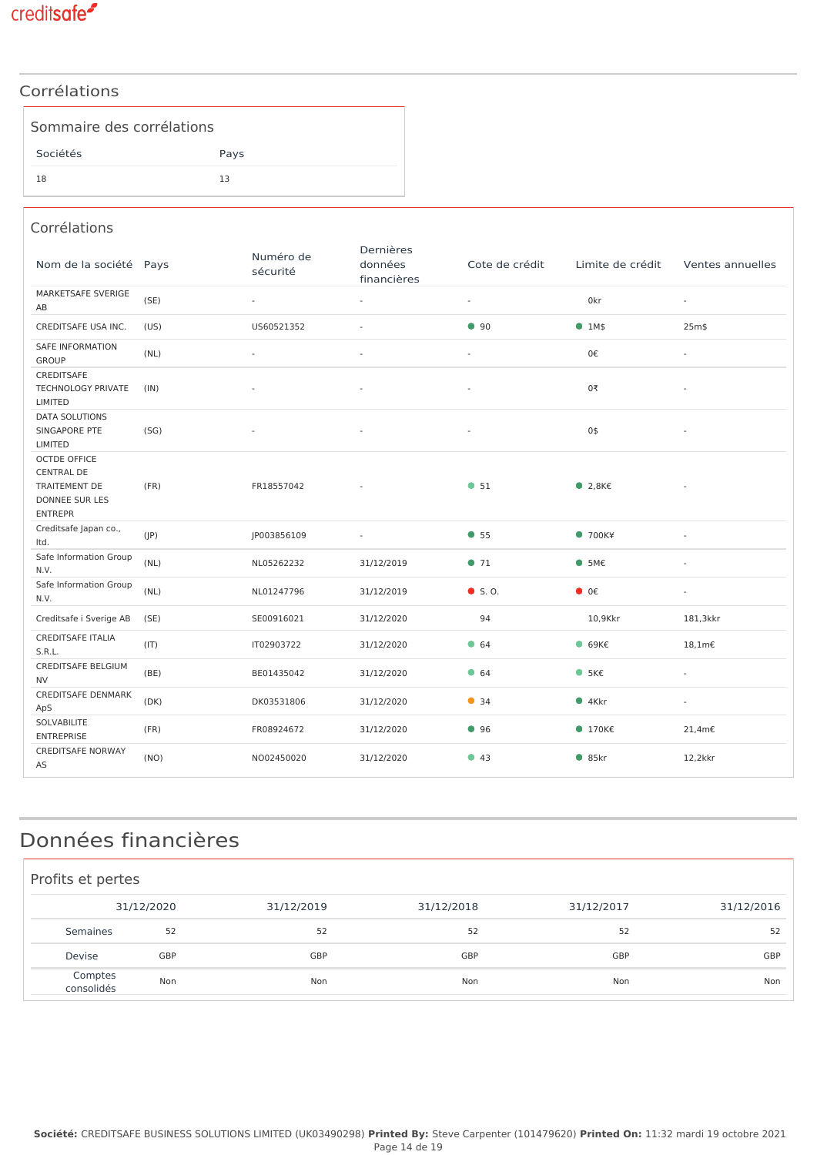

### Corrélations

| Sommaire des corrélations |      |
|---------------------------|------|
| Sociétés                  | Pays |
| 18                        | 13   |

#### Corrélations

| Nom de la société Pays                                                                                      |      | Numéro de<br>sécurité | Dernières<br>données<br>financières | Cote de crédit           | Limite de crédit          | Ventes annuelles         |
|-------------------------------------------------------------------------------------------------------------|------|-----------------------|-------------------------------------|--------------------------|---------------------------|--------------------------|
| MARKETSAFE SVERIGE<br>AB                                                                                    | (SE) | $\bar{\phantom{a}}$   | $\sim$                              | $\blacksquare$           | 0kr                       | $\blacksquare$           |
| CREDITSAFE USA INC.                                                                                         | (US) | US60521352            | $\sim$                              | •90                      | • 1M\$                    | 25m\$                    |
| <b>SAFE INFORMATION</b><br><b>GROUP</b>                                                                     | (NL) | ÷                     | $\overline{\phantom{a}}$            | $\bar{a}$                | 0€                        | $\omega$                 |
| <b>CREDITSAFE</b><br>TECHNOLOGY PRIVATE<br>LIMITED                                                          | (IN) |                       | $\bar{a}$                           | ÷,                       | 0₹                        | $\overline{\phantom{a}}$ |
| <b>DATA SOLUTIONS</b><br>SINGAPORE PTE<br>LIMITED                                                           | (SG) |                       | $\overline{\phantom{a}}$            | $\overline{\phantom{a}}$ | 0\$                       | $\overline{\phantom{a}}$ |
| <b>OCTDE OFFICE</b><br><b>CENTRAL DE</b><br><b>TRAITEMENT DE</b><br><b>DONNEE SUR LES</b><br><b>ENTREPR</b> | (FR) | FR18557042            |                                     | • 51                     | $\bullet$ 2,8K $\epsilon$ |                          |
| Creditsafe Japan co.,<br>Itd.                                                                               | (IP) | JP003856109           | $\sim$                              | • 55                     | • 700K4                   | $\sim$                   |
| Safe Information Group<br>N.V.                                                                              | (NL) | NL05262232            | 31/12/2019                          | •71                      | • 5M€                     | $\omega$                 |
| Safe Information Group<br>N.V.                                                                              | (NL) | NL01247796            | 31/12/2019                          | $\bullet$ S.O.           | $\bullet$ 0€              | $\blacksquare$           |
| Creditsafe i Sverige AB                                                                                     | (SE) | SE00916021            | 31/12/2020                          | 94                       | 10,9Kkr                   | 181,3kkr                 |
| <b>CREDITSAFE ITALIA</b><br>S.R.L.                                                                          | (IT) | IT02903722            | 31/12/2020                          | • 64                     | $\bullet$ 69K $\epsilon$  | $18,1m\epsilon$          |
| <b>CREDITSAFE BELGIUM</b><br><b>NV</b>                                                                      | (BE) | BE01435042            | 31/12/2020                          | • 64                     | • 5K <sub>E</sub>         | $\omega$                 |
| <b>CREDITSAFE DENMARK</b><br>ApS                                                                            | (DK) | DK03531806            | 31/12/2020                          | • 34                     | $•4$ Kkr                  | $\sim$                   |
| SOLVABILITE<br><b>ENTREPRISE</b>                                                                            | (FR) | FR08924672            | 31/12/2020                          | •96                      | $ 170K\epsilon$           | 21,4m€                   |
| <b>CREDITSAFE NORWAY</b><br>AS                                                                              | (NO) | NO02450020            | 31/12/2020                          | •43                      | • 85kr                    | 12,2kkr                  |

# Données financières

| Profits et pertes     |            |            |            |            |            |
|-----------------------|------------|------------|------------|------------|------------|
|                       | 31/12/2020 | 31/12/2019 | 31/12/2018 | 31/12/2017 | 31/12/2016 |
| Semaines              | 52         | 52         | 52         | 52         | 52         |
| Devise                | GBP        | GBP        | GBP        | GBP        | GBP        |
| Comptes<br>consolidés | Non        | Non        | Non        | Non        | Non        |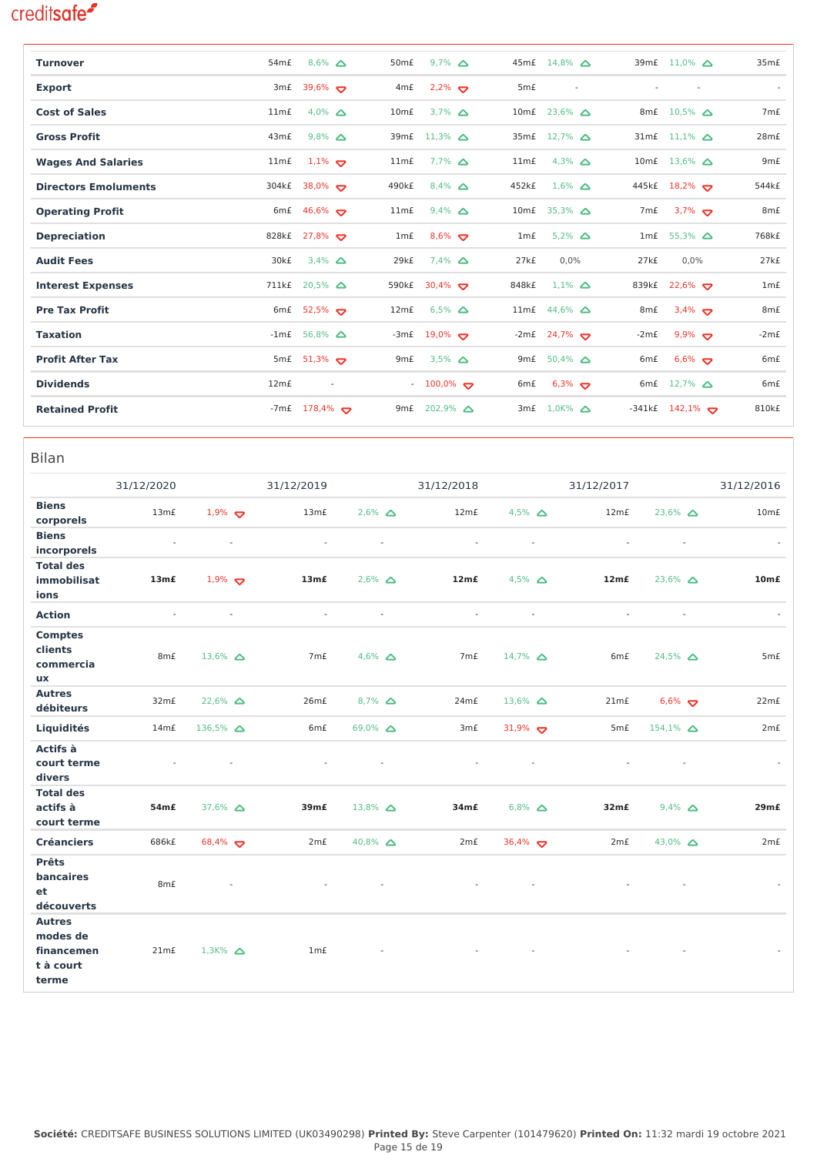| <b>Turnover</b>             | 54 <sub>m</sub> £ | $8,6\%$ $\Delta$         | 50 <sub>m</sub> £ | $9.7\%$ $\Delta$                  |                  | 45m£ 14,8% △              |                  | 39m£ 11,0% $\triangle$   | 35m <sub>f</sub>   |
|-----------------------------|-------------------|--------------------------|-------------------|-----------------------------------|------------------|---------------------------|------------------|--------------------------|--------------------|
| <b>Export</b>               | 3m£               | 39,6% $\sigma$           | 4 <sub>m</sub> £  | $2,2\%$                           | 5 <sub>m</sub> £ | $\overline{\phantom{a}}$  |                  | $\overline{\phantom{a}}$ |                    |
| <b>Cost of Sales</b>        | 11m <sub>f</sub>  | 4,0% $\Delta$            | 10mE              | $3.7\%$ $\Delta$                  |                  | 10mf 23,6% $\triangle$    | 8m£              | $10,5\%$ $\triangle$     | 7 <sub>m</sub> £   |
| <b>Gross Profit</b>         | 43m£              | $9,8\%$ $\Delta$         |                   | 39mf $11,3\%$ $\Delta$            |                  | 35m£ 12,7% △              |                  | 31mf $11,1\%$ $\Delta$   | 28m <sub>f</sub>   |
| <b>Wages And Salaries</b>   | 11m <sub>f</sub>  | $1,1\%$                  | 11m <sub>f</sub>  | $7.7\%$ $\triangle$               | 11m <sub>f</sub> | 4,3% $\Delta$             |                  | 10mf 13,6% $\triangle$   | 9mE                |
| <b>Directors Emoluments</b> | 304k£             | 38,0% $\sigma$           | 490k£             | $8,4\%$ $\Delta$                  | 452k£            | $1,6\%$ $\Delta$          |                  | 445k£ 18,2%              | 544 <sub>k</sub> £ |
| <b>Operating Profit</b>     |                   | 6mf $46,6\%$             | 11m <sub>f</sub>  | $9.4\%$ $\Delta$                  |                  | 10m£ 35,3% △              | 7m£              | $3.7\%$                  | 8 <sub>m</sub> £   |
| <b>Depreciation</b>         | 828k£             | $27,8\%$                 | 1m <sub>f</sub>   | $8,6\%$                           | 1m <sub>f</sub>  | $5.2\%$ $\Delta$          | 1m£              | $55,3\%$ $\triangle$     | 768k£              |
| <b>Audit Fees</b>           | 30k£              | $3,4\%$ $\Delta$         | 29k£              | $7.4\%$ $\Delta$                  | 27kE             | 0,0%                      | 27kE             | 0,0%                     | 27kE               |
| <b>Interest Expenses</b>    | 711k£             | $20,5\%$ $\triangle$     | 590k£             | 30,4% $\bullet$                   | 848k£            | $1.1\%$ $\Delta$          | 839k£            | $22,6\%$                 | $1m$ £             |
| <b>Pre Tax Profit</b>       |                   | 6mf $52,5%$              | 12m <sub>f</sub>  | $6,5\%$ $\Delta$                  |                  | 11mf $44,6\%$ $\triangle$ | 8 <sub>m</sub> £ | $3,4\%$                  | 8 <sub>m</sub> £   |
| <b>Taxation</b>             |                   | $-1mE$ 56,8% $\Delta$    |                   | $-3mf$ 19,0% $\blacktriangledown$ |                  | $-2mE$ 24,7% $\sum$       | $-2mE$           | $9,9\%$                  | $-2mE$             |
| <b>Profit After Tax</b>     |                   | 5mf $51,3\%$             | 9 <sub>m</sub> £  | $3,5\%$ $\Delta$                  | 9m£              | $50,4\%$ $\Delta$         | 6 <sub>m</sub> £ | $6,6\%$                  | 6 <sub>m</sub> £   |
| <b>Dividends</b>            | 12m <sub>f</sub>  | $\overline{\phantom{a}}$ |                   | $-100,0\%$                        | 6m£              | $6,3\%$                   |                  | 6mf $12,7\%$ $\triangle$ | 6 <sub>m</sub> £   |
| <b>Retained Profit</b>      | -7m£              | $178,4\%$                | 9 <sub>m</sub> £  | $202,9\%$ $\triangle$             | 3m <sub>f</sub>  | $1,0K%$ $\Delta$          |                  | $-341kf$ 142,1%          | 810 <sub>kf</sub>  |

| <b>Bilan</b>                                                  |                   |                     |                  |                  |                  |                          |                  |                    |                     |                  |
|---------------------------------------------------------------|-------------------|---------------------|------------------|------------------|------------------|--------------------------|------------------|--------------------|---------------------|------------------|
|                                                               | 31/12/2020        |                     | 31/12/2019       |                  | 31/12/2018       |                          | 31/12/2017       |                    |                     | 31/12/2016       |
| <b>Biens</b><br>corporels                                     | 13m <sub>f</sub>  | $1,9\%$             | 13m <sub>f</sub> | $2,6\%$ $\Delta$ | 12m <sub>f</sub> | 4,5% $\Delta$            | 12m <sub>f</sub> | $23,6\%$ $\Delta$  |                     | 10mE             |
| <b>Biens</b><br>incorporels                                   | ä,                |                     | $\sim$           | $\sim$           | $\sim$           | $\overline{\phantom{a}}$ |                  |                    | $\bar{\phantom{a}}$ |                  |
| <b>Total des</b><br><i>immobilisat</i><br>ions                | 13mE              | $1,9\%$             | 13mE             | $2,6\%$ $\Delta$ | 12mE             | $4,5\%$ $\Delta$         | 12m <sub>f</sub> | $23,6\%$ $\Delta$  |                     | 10mE             |
| <b>Action</b>                                                 | ä,                |                     | $\sim$           | $\sim$           | $\sim$           | $\overline{\phantom{a}}$ |                  |                    | $\sim$              | $\sim$           |
| <b>Comptes</b><br>clients<br>commercia<br>ux                  | 8m£               | 13,6% $\Delta$      | 7m£              | 4,6% $\Delta$    | 7m£              | $14,7\%$ $\Delta$        | 6m£              | $24,5\%$ $\Delta$  |                     | 5 <sub>m</sub> £ |
| <b>Autres</b><br>débiteurs                                    | 32 <sub>m</sub> £ | $22,6\%$ $\Delta$   | 26mE             | $8,7\%$ $\Delta$ | 24m£             | $13,6\%$ $\Delta$        | 21m <sub>f</sub> | $6,6\%$            |                     | 22m£             |
| Liquidités                                                    | 14mE              | 136,5% $\Delta$     | 6m£              | 69,0% $\Delta$   | 3 <sub>m</sub> £ | 31,9% $\sigma$           | 5mE              | $154,1\%$ $\Delta$ |                     | 2m <sub>f</sub>  |
| Actifs à<br>court terme<br>divers                             |                   |                     |                  |                  |                  |                          |                  |                    |                     |                  |
| <b>Total des</b><br>actifs à<br>court terme                   | 54m£              | 37,6% $\Delta$      | 39m£             | 13,8% $\Delta$   | 34m£             | $6,8\%$ $\Delta$         | 32m <sub>f</sub> | $9,4\%$ $\Delta$   |                     | 29mE             |
| <b>Créanciers</b>                                             | 686k£             | 68,4% $\sigma$      | 2mE              | 40,8% $\Delta$   | 2m <sub>f</sub>  | 36,4% $\bullet$          | 2m <sub>f</sub>  | 43,0% $\Delta$     |                     | 2m <sub>f</sub>  |
| <b>Prêts</b><br>bancaires<br>et<br>découverts                 | 8m£               |                     |                  |                  |                  |                          |                  |                    |                     |                  |
| <b>Autres</b><br>modes de<br>financemen<br>t à court<br>terme | 21m <sub>f</sub>  | $1,3K%$ $\triangle$ | 1m <sub>f</sub>  |                  |                  |                          |                  |                    |                     |                  |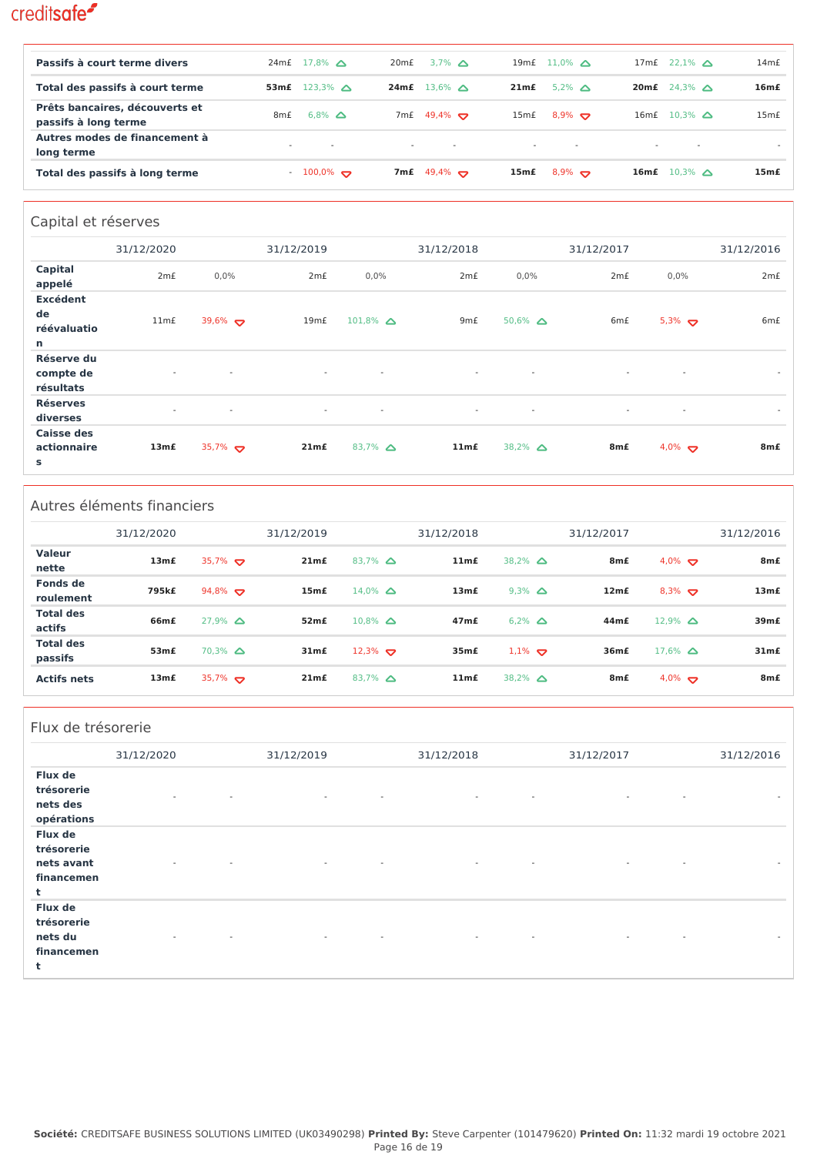| Passifs à court terme divers                           | 24mE             | $17.8\%$ $\triangle$     | 20mE   | 3.7% $\triangle$         | 19m£   | $11.0\%$ $\triangle$      | 17m£   | $22.1\%$ $\triangle$ | 14m <sub>f</sub> |
|--------------------------------------------------------|------------------|--------------------------|--------|--------------------------|--------|---------------------------|--------|----------------------|------------------|
| Total des passifs à court terme                        | 53m <sub>f</sub> | $123.3\%$ $\triangle$    | 24m£   | $13.6\%$ $\triangle$     | 21mE   | $5.2\%$ $\triangle$       | 20m£   | $24.3\%$ $\triangle$ | 16mE             |
| Prêts bancaires, découverts et<br>passifs à long terme | 8 <sub>m</sub> £ | $6.8\%$ $\Delta$         | 7m£    | 49,4% $\leftrightarrow$  | 15m£   | $8.9\%$ $\Leftrightarrow$ | 16mE   | $10.3\%$ $\triangle$ | 15mE             |
| Autres modes de financement à<br>long terme            | $\sim$           | $\overline{\phantom{a}}$ | $\sim$ | $\overline{\phantom{a}}$ | $\sim$ | $\sim$                    | $\sim$ |                      |                  |
| Total des passifs à long terme                         |                  | $-100,0\%$               | 7m£    | 49,4% $\bullet$          | 15m£   | $8.9\%$                   | 16mE   | $10.3\%$ $\triangle$ | 15m <sub>f</sub> |

### Capital et réserves

|                                                     | 31/12/2020       |                          | 31/12/2019               |                          | 31/12/2018               |                          | 31/12/2017       |               | 31/12/2016               |
|-----------------------------------------------------|------------------|--------------------------|--------------------------|--------------------------|--------------------------|--------------------------|------------------|---------------|--------------------------|
| Capital<br>appelé                                   | 2m <sub>f</sub>  | 0,0%                     | 2m <sub>f</sub>          | 0,0%                     | 2m <sub>f</sub>          | 0,0%                     | 2m <sub>f</sub>  | 0,0%          | 2m <sub>f</sub>          |
| <b>Excédent</b><br>de<br>réévaluatio<br>$\mathbf n$ | 11m <sub>f</sub> | 39,6% $\sigma$           | 19mE                     | $101,8\%$ $\Delta$       | 9 <sub>m</sub> £         | $50,6\%$ $\Delta$        | 6 <sub>m</sub> £ | 5,3% $\sigma$ | 6 <sub>m</sub> £         |
| Réserve du<br>compte de<br>résultats                | $\sim$           | $\sim$                   | $\overline{\phantom{a}}$ | $\overline{\phantom{a}}$ | $\overline{\phantom{a}}$ | $\overline{\phantom{a}}$ | $\sim$           | $\sim$        | $\overline{\phantom{a}}$ |
| <b>Réserves</b><br>diverses                         | $\sim$           | $\overline{\phantom{a}}$ | $\overline{\phantom{a}}$ | $\overline{\phantom{a}}$ | $\overline{\phantom{a}}$ | $\overline{\phantom{a}}$ | $\sim$           | $\sim$        | $\overline{\phantom{a}}$ |
| <b>Caisse des</b><br>actionnaire<br>s               | 13mE             | 35,7%                    | 21m <sub>f</sub>         | 83,7% $\Delta$           | 11m <sub>f</sub>         | 38,2% $\Delta$           | 8m£              | 4,0% $\sum$   | 8 <sub>m</sub> £         |

### Autres éléments financiers

|                             | 31/12/2020       |                      | 31/12/2019       |                      | 31/12/2018       |                     | 31/12/2017       |                      | 31/12/2016        |
|-----------------------------|------------------|----------------------|------------------|----------------------|------------------|---------------------|------------------|----------------------|-------------------|
| <b>Valeur</b><br>nette      | 13mE             | 35,7% $\bullet$      | 21mE             | 83,7% $\Delta$       | 11m <sub>f</sub> | 38,2% $\Delta$      | 8 <sub>m</sub> £ | 4,0% $\bullet$       | 8 <sub>m</sub> £  |
| Fonds de<br>roulement       | 795k£            | 94,8% $\bullet$      | 15mE             | $14.0\%$ $\triangle$ | 13mE             | $9.3\%$ $\Delta$    | 12m <sub>f</sub> | $8,3\%$              | 13mE              |
| <b>Total des</b><br>actifs  | 66m£             | $27.9\%$ $\triangle$ | 52mE             | $10.8\%$ $\triangle$ | 47mE             | $6.2\%$ $\triangle$ | 44m£             | $12.9\%$ $\triangle$ | 39 <sub>m</sub> £ |
| <b>Total des</b><br>passifs | 53m <sub>f</sub> | $70,3\%$ $\Delta$    | 31m <sub>f</sub> | $12,3\%$             | 35m£             | $1.1\%$             | 36m£             | $17.6\%$ $\triangle$ | 31m <sub>f</sub>  |
| <b>Actifs nets</b>          | 13mE             | 35,7% $\bullet$      | 21mE             | $83,7\%$ $\Delta$    | 11m <sub>f</sub> | 38,2% $\Delta$      | 8 <sub>m</sub> £ | $4.0\%$              | 8 <sub>m</sub> £  |

### Flux de trésorerie

|                                                        | 31/12/2020                                           | 31/12/2019                                           | 31/12/2018                                           | 31/12/2017                         | 31/12/2016               |
|--------------------------------------------------------|------------------------------------------------------|------------------------------------------------------|------------------------------------------------------|------------------------------------|--------------------------|
| Flux de<br>trésorerie<br>nets des<br>opérations        | $\overline{\phantom{a}}$                             | $\sim$<br>$\overline{\phantom{a}}$                   | $\overline{\phantom{a}}$<br>$\overline{\phantom{a}}$ | $\sim$<br>$\sim$                   | $\overline{\phantom{a}}$ |
| Flux de<br>trésorerie<br>nets avant<br>financemen<br>t | $\overline{\phantom{a}}$<br>$\overline{\phantom{a}}$ | $\sim$<br>$\overline{\phantom{a}}$                   | $\overline{\phantom{a}}$<br>$\sim$                   | $\sim$<br>$\sim$                   | $\sim$                   |
| Flux de<br>trésorerie<br>nets du<br>financemen<br>t    | $\overline{\phantom{a}}$<br>$\overline{\phantom{a}}$ | $\overline{\phantom{a}}$<br>$\overline{\phantom{a}}$ | $\overline{\phantom{a}}$<br>$\sim$                   | $\sim$<br>$\overline{\phantom{a}}$ | $\overline{\phantom{a}}$ |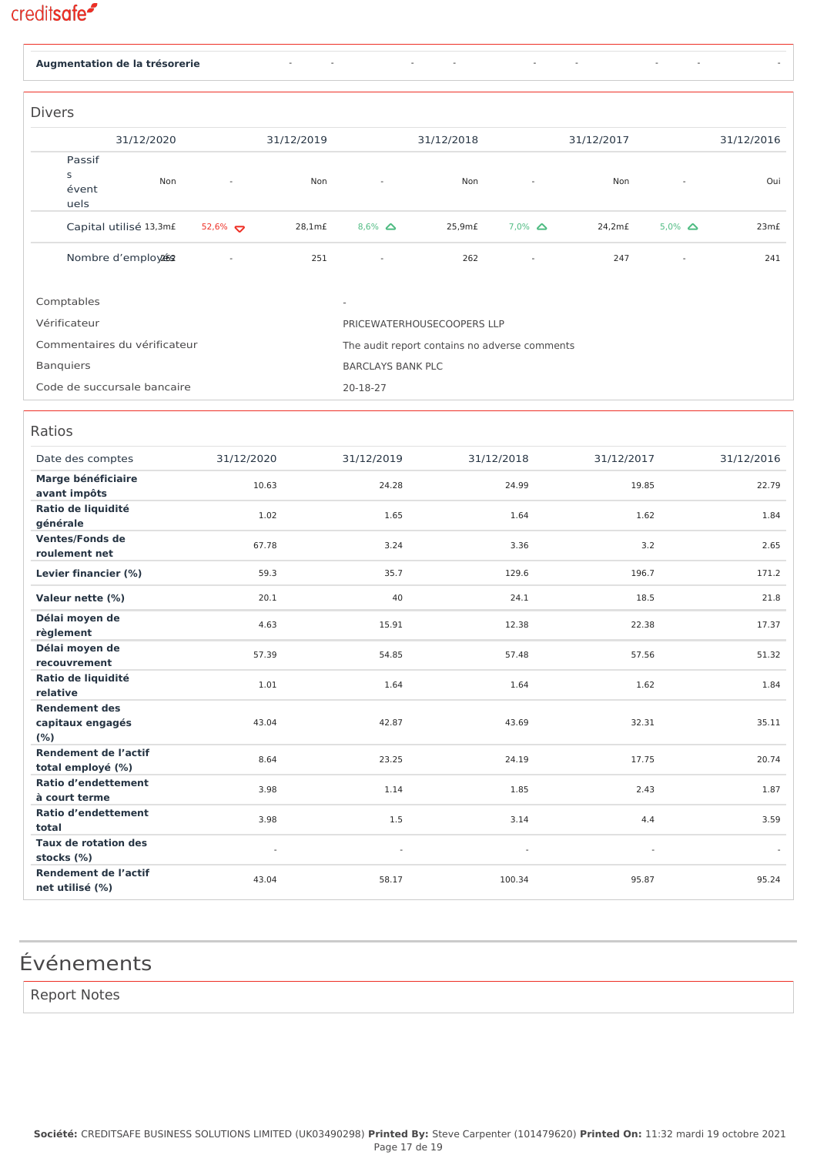| Augmentation de la trésorerie                   |            |            |                                               |            |                  |            |                  |            |
|-------------------------------------------------|------------|------------|-----------------------------------------------|------------|------------------|------------|------------------|------------|
|                                                 |            |            |                                               |            |                  |            |                  |            |
| <b>Divers</b>                                   |            |            |                                               |            |                  |            |                  |            |
| 31/12/2020                                      |            | 31/12/2019 |                                               | 31/12/2018 |                  | 31/12/2017 |                  | 31/12/2016 |
| Passif                                          |            |            |                                               |            |                  |            |                  |            |
| S<br>Non                                        |            | Non        |                                               | Non        |                  | Non        |                  | Oui        |
| évent<br>uels                                   |            |            |                                               |            |                  |            |                  |            |
|                                                 |            |            |                                               |            |                  |            |                  |            |
| Capital utilisé 13,3mf                          | $52,6\%$   | 28,1m£     | $8,6\%$ $\Delta$                              | 25,9m£     | $7,0\%$ $\Delta$ | 24,2m£     | $5.0\%$ $\Delta$ | 23m£       |
| Nombre d'employée                               |            | 251        |                                               | 262        |                  | 247        |                  | 241        |
|                                                 |            |            |                                               |            |                  |            |                  |            |
| Comptables                                      |            |            |                                               |            |                  |            |                  |            |
| Vérificateur                                    |            |            | PRICEWATERHOUSECOOPERS LLP                    |            |                  |            |                  |            |
| Commentaires du vérificateur                    |            |            | The audit report contains no adverse comments |            |                  |            |                  |            |
| <b>Banquiers</b>                                |            |            | <b>BARCLAYS BANK PLC</b>                      |            |                  |            |                  |            |
| Code de succursale bancaire                     |            |            | 20-18-27                                      |            |                  |            |                  |            |
|                                                 |            |            |                                               |            |                  |            |                  |            |
| Ratios                                          |            |            |                                               |            |                  |            |                  |            |
|                                                 |            |            |                                               |            |                  |            |                  |            |
| Date des comptes                                | 31/12/2020 |            | 31/12/2019                                    |            | 31/12/2018       | 31/12/2017 |                  | 31/12/2016 |
| Marge bénéficiaire<br>avant impôts              | 10.63      |            | 24.28                                         |            | 24.99            | 19.85      |                  | 22.79      |
| Ratio de liquidité                              | 1.02       |            | 1.65                                          |            | 1.64             | 1.62       |                  | 1.84       |
| générale                                        |            |            |                                               |            |                  |            |                  |            |
| <b>Ventes/Fonds de</b><br>roulement net         | 67.78      |            | 3.24                                          |            | 3.36             | 3.2        |                  | 2.65       |
| Levier financier (%)                            | 59.3       |            | 35.7                                          |            | 129.6            | 196.7      |                  | 171.2      |
| Valeur nette (%)                                | 20.1       |            | 40                                            |            | 24.1             | 18.5       |                  | 21.8       |
| Délai moyen de                                  |            |            |                                               |            |                  |            |                  |            |
| règlement                                       | 4.63       |            | 15.91                                         |            | 12.38            | 22.38      |                  | 17.37      |
| Délai moyen de                                  | 57.39      |            | 54.85                                         |            | 57.48            | 57.56      |                  | 51.32      |
| recouvrement<br>Ratio de liquidité              |            |            |                                               |            |                  |            |                  |            |
| relative                                        | $1.01\,$   |            | 1.64                                          |            | 1.64             | 1.62       |                  | 1.84       |
| <b>Rendement des</b>                            |            |            |                                               |            |                  |            |                  |            |
| capitaux engagés<br>(% )                        | 43.04      |            | 42.87                                         |            | 43.69            | 32.31      |                  | 35.11      |
| <b>Rendement de l'actif</b>                     | 8.64       |            | 23.25                                         |            | 24.19            | 17.75      |                  | 20.74      |
| total employé (%)<br><b>Ratio d'endettement</b> |            |            |                                               |            |                  |            |                  |            |
| à court terme                                   | 3.98       |            | 1.14                                          |            | 1.85             | 2.43       |                  | 1.87       |
| <b>Ratio d'endettement</b>                      | 3.98       |            | 1.5                                           |            | 3.14             | 4.4        |                  | 3.59       |
| total<br><b>Taux de rotation des</b>            |            |            |                                               |            |                  |            |                  |            |
| stocks (%)                                      |            |            |                                               |            |                  |            |                  |            |

## Événements

**Rendement de l'actif net utilisé (%)**

Report Notes

43.04 58.17 100.34 95.87 95.24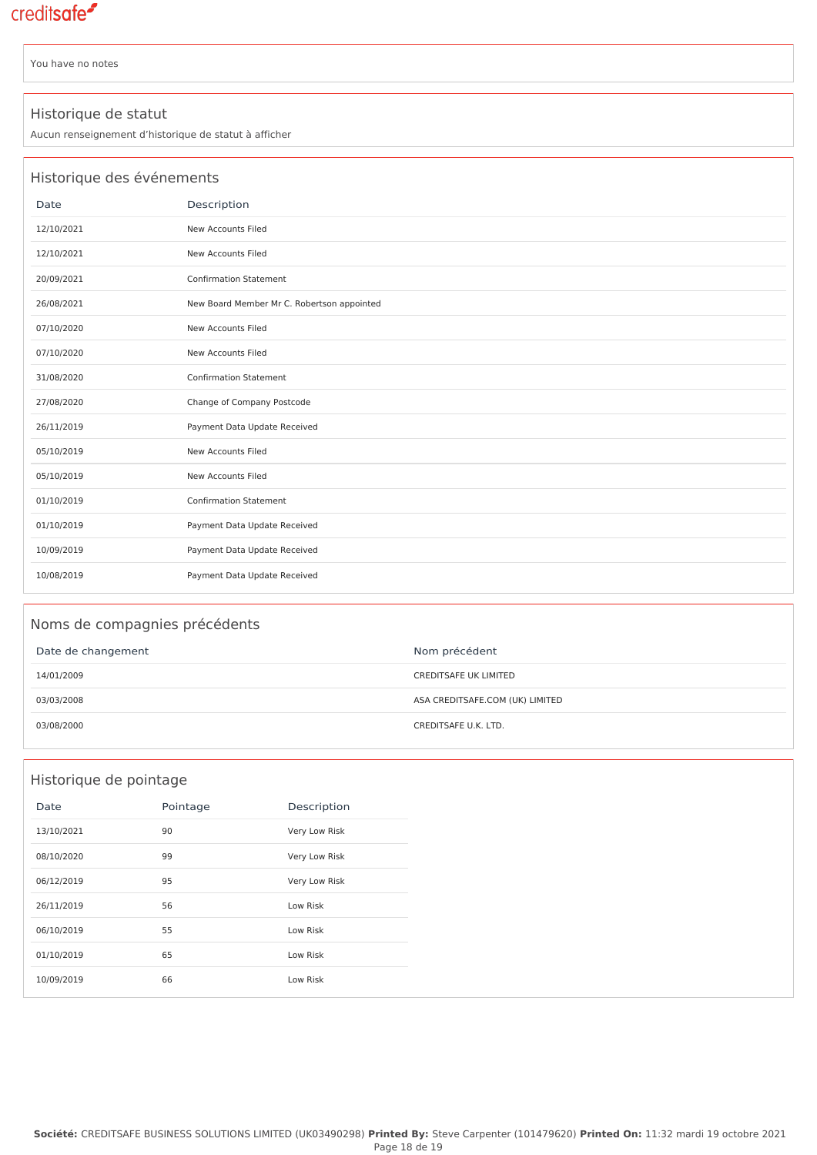You have no notes

#### Historique de statut

Aucun renseignement d'historique de statut à afficher

|            | Historique des événements                  |  |  |  |  |  |  |  |
|------------|--------------------------------------------|--|--|--|--|--|--|--|
| Date       | Description                                |  |  |  |  |  |  |  |
| 12/10/2021 | New Accounts Filed                         |  |  |  |  |  |  |  |
| 12/10/2021 | New Accounts Filed                         |  |  |  |  |  |  |  |
| 20/09/2021 | <b>Confirmation Statement</b>              |  |  |  |  |  |  |  |
| 26/08/2021 | New Board Member Mr C. Robertson appointed |  |  |  |  |  |  |  |
| 07/10/2020 | New Accounts Filed                         |  |  |  |  |  |  |  |
| 07/10/2020 | New Accounts Filed                         |  |  |  |  |  |  |  |
| 31/08/2020 | <b>Confirmation Statement</b>              |  |  |  |  |  |  |  |
| 27/08/2020 | Change of Company Postcode                 |  |  |  |  |  |  |  |
| 26/11/2019 | Payment Data Update Received               |  |  |  |  |  |  |  |
| 05/10/2019 | New Accounts Filed                         |  |  |  |  |  |  |  |
| 05/10/2019 | New Accounts Filed                         |  |  |  |  |  |  |  |
| 01/10/2019 | <b>Confirmation Statement</b>              |  |  |  |  |  |  |  |
| 01/10/2019 | Payment Data Update Received               |  |  |  |  |  |  |  |
| 10/09/2019 | Payment Data Update Received               |  |  |  |  |  |  |  |
| 10/08/2019 | Payment Data Update Received               |  |  |  |  |  |  |  |

### Noms de compagnies précédents

| Date de changement | Nom précédent                   |
|--------------------|---------------------------------|
| 14/01/2009         | <b>CREDITSAFE UK LIMITED</b>    |
| 03/03/2008         | ASA CREDITSAFE.COM (UK) LIMITED |
| 03/08/2000         | CREDITSAFE U.K. LTD.            |

### Historique de pointage

| Date       | Pointage | Description   |
|------------|----------|---------------|
| 13/10/2021 | 90       | Very Low Risk |
| 08/10/2020 | 99       | Very Low Risk |
| 06/12/2019 | 95       | Very Low Risk |
| 26/11/2019 | 56       | Low Risk      |
| 06/10/2019 | 55       | Low Risk      |
| 01/10/2019 | 65       | Low Risk      |
| 10/09/2019 | 66       | Low Risk      |